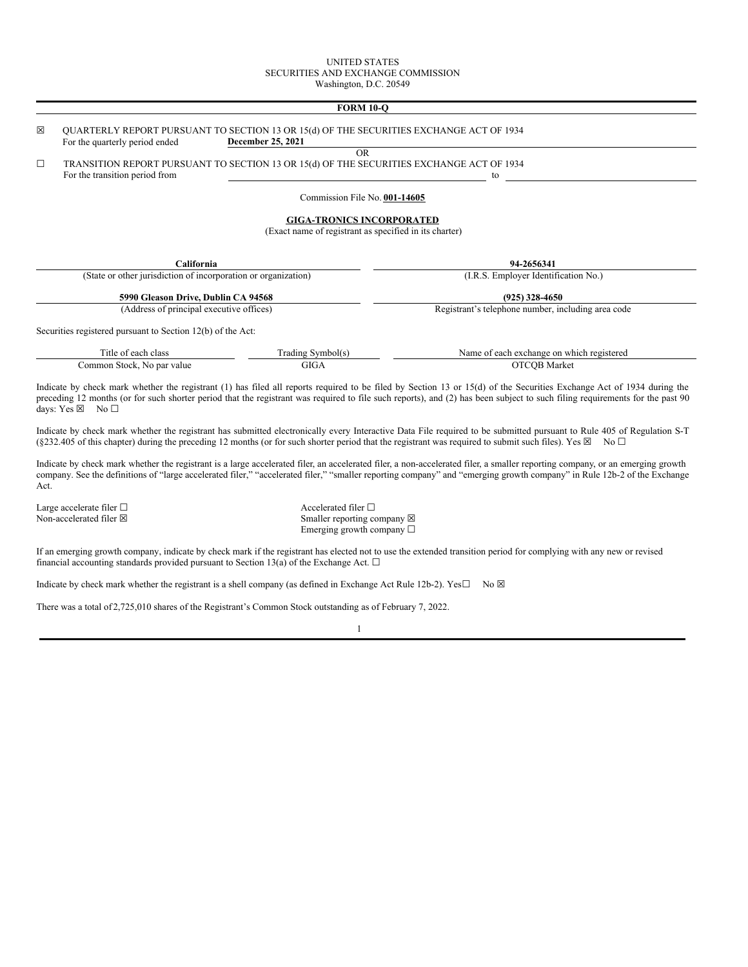### UNITED STATES SECURITIES AND EXCHANGE COMMISSION Washington, D.C. 20549

# **FORM 10-Q**

| ⊠      | <b>OUARTERLY REPORT PURSUANT TO SECTION 13 OR 15(d) OF THE SECURITIES EXCHANGE ACT OF 1934</b><br>For the quarterly period ended | December 25, 2021                                      |                                                                                                                                                                                                                                                                                                                                                       |
|--------|----------------------------------------------------------------------------------------------------------------------------------|--------------------------------------------------------|-------------------------------------------------------------------------------------------------------------------------------------------------------------------------------------------------------------------------------------------------------------------------------------------------------------------------------------------------------|
|        |                                                                                                                                  | <b>OR</b>                                              |                                                                                                                                                                                                                                                                                                                                                       |
| $\Box$ | TRANSITION REPORT PURSUANT TO SECTION 13 OR 15(d) OF THE SECURITIES EXCHANGE ACT OF 1934                                         |                                                        |                                                                                                                                                                                                                                                                                                                                                       |
|        | For the transition period from                                                                                                   |                                                        | to                                                                                                                                                                                                                                                                                                                                                    |
|        |                                                                                                                                  | Commission File No. 001-14605                          |                                                                                                                                                                                                                                                                                                                                                       |
|        |                                                                                                                                  | <b>GIGA-TRONICS INCORPORATED</b>                       |                                                                                                                                                                                                                                                                                                                                                       |
|        |                                                                                                                                  | (Exact name of registrant as specified in its charter) |                                                                                                                                                                                                                                                                                                                                                       |
|        |                                                                                                                                  |                                                        |                                                                                                                                                                                                                                                                                                                                                       |
|        | California                                                                                                                       |                                                        | 94-2656341                                                                                                                                                                                                                                                                                                                                            |
|        | (State or other jurisdiction of incorporation or organization)                                                                   |                                                        | (I.R.S. Employer Identification No.)                                                                                                                                                                                                                                                                                                                  |
|        |                                                                                                                                  |                                                        |                                                                                                                                                                                                                                                                                                                                                       |
|        | 5990 Gleason Drive, Dublin CA 94568                                                                                              |                                                        | $(925)$ 328-4650                                                                                                                                                                                                                                                                                                                                      |
|        | (Address of principal executive offices)                                                                                         |                                                        | Registrant's telephone number, including area code                                                                                                                                                                                                                                                                                                    |
|        | Securities registered pursuant to Section 12(b) of the Act:                                                                      |                                                        |                                                                                                                                                                                                                                                                                                                                                       |
|        | Title of each class                                                                                                              | Trading Symbol(s)                                      | Name of each exchange on which registered                                                                                                                                                                                                                                                                                                             |
|        | Common Stock, No par value                                                                                                       | <b>GIGA</b>                                            | <b>OTCOB</b> Market                                                                                                                                                                                                                                                                                                                                   |
|        | days: Yes $\boxtimes$ No $\square$                                                                                               |                                                        | Indicate by check mark whether the registrant (1) has filed all reports required to be filed by Section 13 or 15(d) of the Securities Exchange Act of 1934 during the<br>preceding 12 months (or for such shorter period that the registrant was required to file such reports), and (2) has been subject to such filing requirements for the past 90 |
|        |                                                                                                                                  |                                                        | Indicate by check mark whether the registrant has submitted electronically every Interactive Data File required to be submitted pursuant to Rule 405 of Regulation S-T<br>(§232.405 of this chapter) during the preceding 12 months (or for such shorter period that the registrant was required to submit such files). Yes $\boxtimes$ No $\square$  |
|        |                                                                                                                                  |                                                        | Indicate by check mark whether the registrant is a large accelerated filer an accelerated filer a non-accelerated filer a smaller reporting company or an emerging growth                                                                                                                                                                             |

Indicate by check mark whether the registrant is a large accelerated filer, an accelerated filer, a non-accelerated filer, a smaller reporting company, or an emerging growth company. See the definitions of "large accelerated filer," "accelerated filer," "smaller reporting company" and "emerging growth company" in Rule 12b-2 of the Exchange Act.

Large accelerate filer  $\Box$ Non-accelerated filer  $\boxtimes$ 

Accelerated filer  $\Box$ Smaller reporting company  $\boxtimes$ Emerging growth company □

If an emerging growth company, indicate by check mark if the registrant has elected not to use the extended transition period for complying with any new or revised financial accounting standards provided pursuant to Section 13(a) of the Exchange Act.  $\Box$ 

Indicate by check mark whether the registrant is a shell company (as defined in Exchange Act Rule 12b-2). Yes $\square$  No  $\boxtimes$ 

There was a total of 2,725,010 shares of the Registrant's Common Stock outstanding as of February 7, 2022.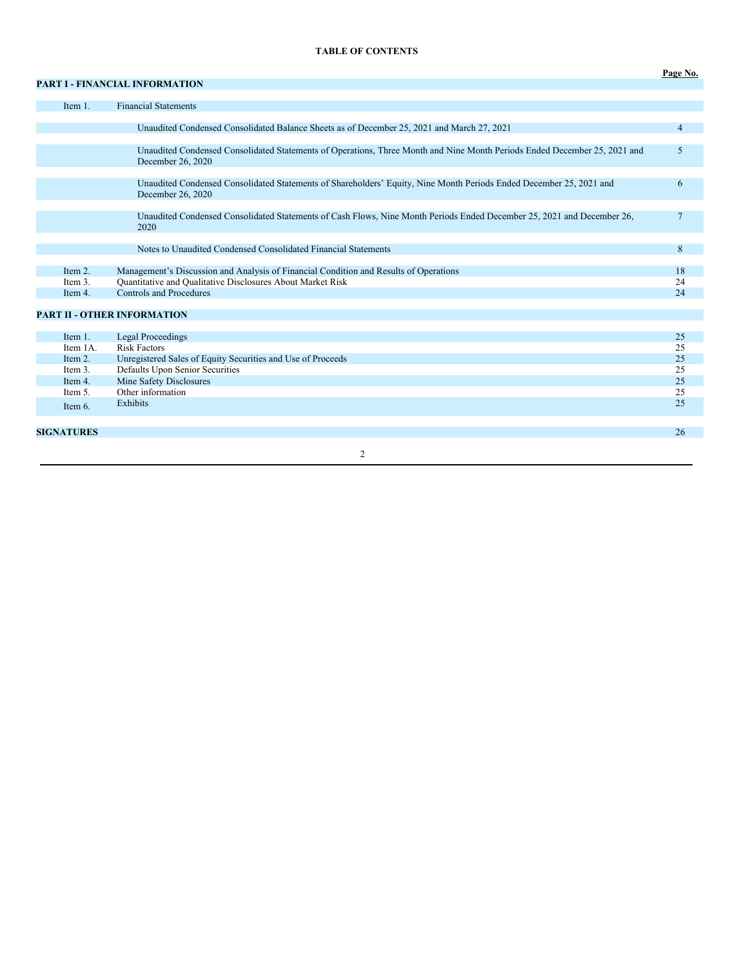## **TABLE OF CONTENTS**

**Page No.**

# **PART I - FINANCIAL INFORMATION**

|                   | Item 1.  | <b>Financial Statements</b>                                                                                                                    |                |
|-------------------|----------|------------------------------------------------------------------------------------------------------------------------------------------------|----------------|
|                   |          |                                                                                                                                                |                |
|                   |          | Unaudited Condensed Consolidated Balance Sheets as of December 25, 2021 and March 27, 2021                                                     | $\overline{4}$ |
|                   |          |                                                                                                                                                |                |
|                   |          | Unaudited Condensed Consolidated Statements of Operations, Three Month and Nine Month Periods Ended December 25, 2021 and<br>December 26, 2020 | 5              |
|                   |          |                                                                                                                                                |                |
|                   |          | Unaudited Condensed Consolidated Statements of Shareholders' Equity, Nine Month Periods Ended December 25, 2021 and<br>December 26, 2020       | 6              |
|                   |          |                                                                                                                                                |                |
|                   |          | Unaudited Condensed Consolidated Statements of Cash Flows, Nine Month Periods Ended December 25, 2021 and December 26,<br>2020                 | $\overline{7}$ |
|                   |          |                                                                                                                                                |                |
|                   |          | Notes to Unaudited Condensed Consolidated Financial Statements                                                                                 | 8              |
|                   |          |                                                                                                                                                |                |
|                   | Item 2.  | Management's Discussion and Analysis of Financial Condition and Results of Operations                                                          | 18             |
|                   | Item 3.  | Quantitative and Qualitative Disclosures About Market Risk                                                                                     | 24             |
|                   | Item 4.  | <b>Controls and Procedures</b>                                                                                                                 | 24             |
|                   |          |                                                                                                                                                |                |
|                   |          | <b>PART II - OTHER INFORMATION</b>                                                                                                             |                |
|                   |          |                                                                                                                                                |                |
|                   | Item 1.  | <b>Legal Proceedings</b>                                                                                                                       | 25             |
|                   | Item 1A. | <b>Risk Factors</b>                                                                                                                            | 25             |
|                   | Item 2.  | Unregistered Sales of Equity Securities and Use of Proceeds                                                                                    | 25             |
|                   | Item 3.  | Defaults Upon Senior Securities                                                                                                                | 25             |
|                   | Item 4.  | Mine Safety Disclosures                                                                                                                        | 25             |
|                   | Item 5.  | Other information                                                                                                                              | 25             |
|                   | Item 6.  | Exhibits                                                                                                                                       | 25             |
|                   |          |                                                                                                                                                |                |
| <b>SIGNATURES</b> |          |                                                                                                                                                | 26             |
|                   |          |                                                                                                                                                |                |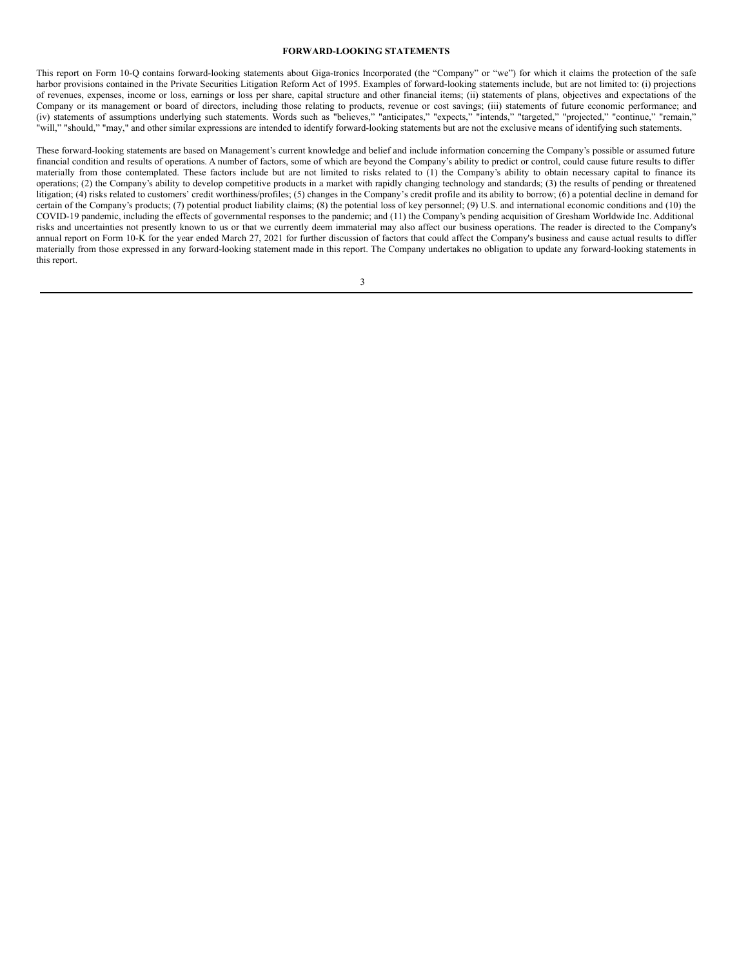### **FORWARD-LOOKING STATEMENTS**

This report on Form 10-Q contains forward-looking statements about Giga-tronics Incorporated (the "Company" or "we") for which it claims the protection of the safe harbor provisions contained in the Private Securities Litigation Reform Act of 1995. Examples of forward-looking statements include, but are not limited to: (i) projections of revenues, expenses, income or loss, earnings or loss per share, capital structure and other financial items; (ii) statements of plans, objectives and expectations of the Company or its management or board of directors, including those relating to products, revenue or cost savings; (iii) statements of future economic performance; and (iv) statements of assumptions underlying such statements. Words such as "believes," "anticipates," "expects," "intends," "targeted," "projected," "continue," "remain," "will," "should," "may," and other similar expressions are intended to identify forward-looking statements but are not the exclusive means of identifying such statements.

These forward-looking statements are based on Management's current knowledge and belief and include information concerning the Company's possible or assumed future financial condition and results of operations. A number of factors, some of which are beyond the Company's ability to predict or control, could cause future results to differ materially from those contemplated. These factors include but are not limited to risks related to (1) the Company's ability to obtain necessary capital to finance its operations; (2) the Company's ability to develop competitive products in a market with rapidly changing technology and standards; (3) the results of pending or threatened litigation; (4) risks related to customers' credit worthiness/profiles; (5) changes in the Company's credit profile and its ability to borrow; (6) a potential decline in demand for certain of the Company's products; (7) potential product liability claims; (8) the potential loss of key personnel; (9) U.S. and international economic conditions and (10) the COVID-19 pandemic, including the effects of governmental responses to the pandemic; and (11) the Company's pending acquisition of Gresham Worldwide Inc. Additional risks and uncertainties not presently known to us or that we currently deem immaterial may also affect our business operations. The reader is directed to the Company's annual report on Form 10-K for the year ended March 27, 2021 for further discussion of factors that could affect the Company's business and cause actual results to differ materially from those expressed in any forward-looking statement made in this report. The Company undertakes no obligation to update any forward-looking statements in this report.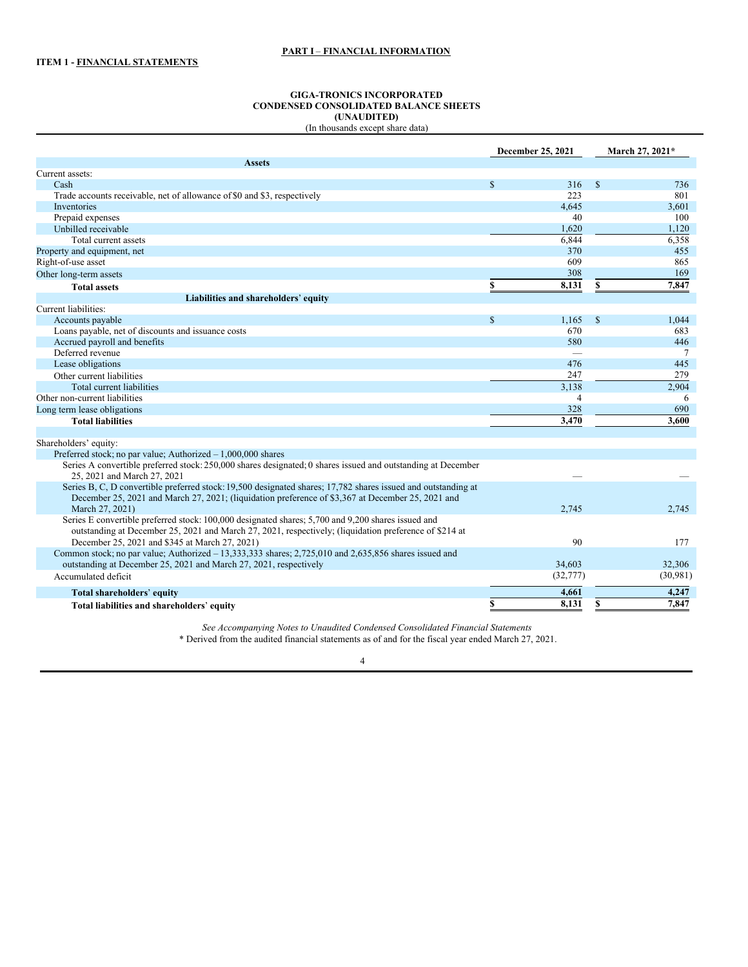### **GIGA-TRONICS INCORPORATED CONDENSED CONSOLIDATED BALANCE SHEETS (UNAUDITED)** (In thousands except share data)

| <b>Assets</b><br>Current assets:<br>$\mathbb{S}$<br>$\mathbf{s}$<br>Cash<br>316<br>736<br>801<br>Trade accounts receivable, net of allowance of \$0 and \$3, respectively<br>223<br>Inventories<br>4,645<br>3,601<br>Prepaid expenses<br>40<br>100<br>1,620<br>Unbilled receivable<br>1,120<br>6,844<br>6,358<br>Total current assets<br>370<br>455<br>Property and equipment, net<br>609<br>Right-of-use asset<br>865<br>308<br>169<br>Other long-term assets<br>7,847<br>\$<br>8,131<br>\$<br><b>Total assets</b><br>Liabilities and shareholders' equity<br>Current liabilities:<br>$\mathbb{S}$<br>1,165<br>$\mathbb{S}$<br>Accounts payable<br>1,044<br>Loans payable, net of discounts and issuance costs<br>670<br>683<br>Accrued payroll and benefits<br>580<br>446<br>Deferred revenue<br>7<br>Lease obligations<br>445<br>476<br>279<br>247<br>Other current liabilities<br>2.904<br>Total current liabilities<br>3,138<br>Other non-current liabilities<br>$\overline{4}$<br>6<br>328<br>690<br>Long term lease obligations<br>3,470<br>3.600<br><b>Total liabilities</b><br>Shareholders' equity:<br>Preferred stock; no par value; Authorized $-1,000,000$ shares<br>Series A convertible preferred stock: 250,000 shares designated; 0 shares issued and outstanding at December<br>25, 2021 and March 27, 2021<br>Series B, C, D convertible preferred stock: 19,500 designated shares; 17,782 shares issued and outstanding at<br>December 25, 2021 and March 27, 2021; (liquidation preference of \$3,367 at December 25, 2021 and<br>March 27, 2021)<br>2,745<br>2,745<br>Series E convertible preferred stock: 100,000 designated shares; 5,700 and 9,200 shares issued and<br>outstanding at December 25, 2021 and March 27, 2021, respectively; (liquidation preference of \$214 at<br>90<br>December 25, 2021 and \$345 at March 27, 2021)<br>177<br>Common stock; no par value; Authorized $-13,333,333$ shares; $2,725,010$ and $2,635,856$ shares issued and<br>outstanding at December 25, 2021 and March 27, 2021, respectively<br>34,603<br>32,306<br>(32, 777)<br>(30,981)<br>Accumulated deficit<br>4,247<br>4,661<br>Total shareholders' equity<br>8,131<br>7,847<br>\$ |                                            | December 25, 2021 | March 27, 2021* |
|--------------------------------------------------------------------------------------------------------------------------------------------------------------------------------------------------------------------------------------------------------------------------------------------------------------------------------------------------------------------------------------------------------------------------------------------------------------------------------------------------------------------------------------------------------------------------------------------------------------------------------------------------------------------------------------------------------------------------------------------------------------------------------------------------------------------------------------------------------------------------------------------------------------------------------------------------------------------------------------------------------------------------------------------------------------------------------------------------------------------------------------------------------------------------------------------------------------------------------------------------------------------------------------------------------------------------------------------------------------------------------------------------------------------------------------------------------------------------------------------------------------------------------------------------------------------------------------------------------------------------------------------------------------------------------------------------------------------------------------------------------------------------------------------------------------------------------------------------------------------------------------------------------------------------------------------------------------------------------------------------------------------------------------------------------------------------------------------------------------------------------------------------------------------------------------------------------|--------------------------------------------|-------------------|-----------------|
|                                                                                                                                                                                                                                                                                                                                                                                                                                                                                                                                                                                                                                                                                                                                                                                                                                                                                                                                                                                                                                                                                                                                                                                                                                                                                                                                                                                                                                                                                                                                                                                                                                                                                                                                                                                                                                                                                                                                                                                                                                                                                                                                                                                                        |                                            |                   |                 |
|                                                                                                                                                                                                                                                                                                                                                                                                                                                                                                                                                                                                                                                                                                                                                                                                                                                                                                                                                                                                                                                                                                                                                                                                                                                                                                                                                                                                                                                                                                                                                                                                                                                                                                                                                                                                                                                                                                                                                                                                                                                                                                                                                                                                        |                                            |                   |                 |
|                                                                                                                                                                                                                                                                                                                                                                                                                                                                                                                                                                                                                                                                                                                                                                                                                                                                                                                                                                                                                                                                                                                                                                                                                                                                                                                                                                                                                                                                                                                                                                                                                                                                                                                                                                                                                                                                                                                                                                                                                                                                                                                                                                                                        |                                            |                   |                 |
|                                                                                                                                                                                                                                                                                                                                                                                                                                                                                                                                                                                                                                                                                                                                                                                                                                                                                                                                                                                                                                                                                                                                                                                                                                                                                                                                                                                                                                                                                                                                                                                                                                                                                                                                                                                                                                                                                                                                                                                                                                                                                                                                                                                                        |                                            |                   |                 |
|                                                                                                                                                                                                                                                                                                                                                                                                                                                                                                                                                                                                                                                                                                                                                                                                                                                                                                                                                                                                                                                                                                                                                                                                                                                                                                                                                                                                                                                                                                                                                                                                                                                                                                                                                                                                                                                                                                                                                                                                                                                                                                                                                                                                        |                                            |                   |                 |
|                                                                                                                                                                                                                                                                                                                                                                                                                                                                                                                                                                                                                                                                                                                                                                                                                                                                                                                                                                                                                                                                                                                                                                                                                                                                                                                                                                                                                                                                                                                                                                                                                                                                                                                                                                                                                                                                                                                                                                                                                                                                                                                                                                                                        |                                            |                   |                 |
|                                                                                                                                                                                                                                                                                                                                                                                                                                                                                                                                                                                                                                                                                                                                                                                                                                                                                                                                                                                                                                                                                                                                                                                                                                                                                                                                                                                                                                                                                                                                                                                                                                                                                                                                                                                                                                                                                                                                                                                                                                                                                                                                                                                                        |                                            |                   |                 |
|                                                                                                                                                                                                                                                                                                                                                                                                                                                                                                                                                                                                                                                                                                                                                                                                                                                                                                                                                                                                                                                                                                                                                                                                                                                                                                                                                                                                                                                                                                                                                                                                                                                                                                                                                                                                                                                                                                                                                                                                                                                                                                                                                                                                        |                                            |                   |                 |
|                                                                                                                                                                                                                                                                                                                                                                                                                                                                                                                                                                                                                                                                                                                                                                                                                                                                                                                                                                                                                                                                                                                                                                                                                                                                                                                                                                                                                                                                                                                                                                                                                                                                                                                                                                                                                                                                                                                                                                                                                                                                                                                                                                                                        |                                            |                   |                 |
|                                                                                                                                                                                                                                                                                                                                                                                                                                                                                                                                                                                                                                                                                                                                                                                                                                                                                                                                                                                                                                                                                                                                                                                                                                                                                                                                                                                                                                                                                                                                                                                                                                                                                                                                                                                                                                                                                                                                                                                                                                                                                                                                                                                                        |                                            |                   |                 |
|                                                                                                                                                                                                                                                                                                                                                                                                                                                                                                                                                                                                                                                                                                                                                                                                                                                                                                                                                                                                                                                                                                                                                                                                                                                                                                                                                                                                                                                                                                                                                                                                                                                                                                                                                                                                                                                                                                                                                                                                                                                                                                                                                                                                        |                                            |                   |                 |
|                                                                                                                                                                                                                                                                                                                                                                                                                                                                                                                                                                                                                                                                                                                                                                                                                                                                                                                                                                                                                                                                                                                                                                                                                                                                                                                                                                                                                                                                                                                                                                                                                                                                                                                                                                                                                                                                                                                                                                                                                                                                                                                                                                                                        |                                            |                   |                 |
|                                                                                                                                                                                                                                                                                                                                                                                                                                                                                                                                                                                                                                                                                                                                                                                                                                                                                                                                                                                                                                                                                                                                                                                                                                                                                                                                                                                                                                                                                                                                                                                                                                                                                                                                                                                                                                                                                                                                                                                                                                                                                                                                                                                                        |                                            |                   |                 |
|                                                                                                                                                                                                                                                                                                                                                                                                                                                                                                                                                                                                                                                                                                                                                                                                                                                                                                                                                                                                                                                                                                                                                                                                                                                                                                                                                                                                                                                                                                                                                                                                                                                                                                                                                                                                                                                                                                                                                                                                                                                                                                                                                                                                        |                                            |                   |                 |
|                                                                                                                                                                                                                                                                                                                                                                                                                                                                                                                                                                                                                                                                                                                                                                                                                                                                                                                                                                                                                                                                                                                                                                                                                                                                                                                                                                                                                                                                                                                                                                                                                                                                                                                                                                                                                                                                                                                                                                                                                                                                                                                                                                                                        |                                            |                   |                 |
|                                                                                                                                                                                                                                                                                                                                                                                                                                                                                                                                                                                                                                                                                                                                                                                                                                                                                                                                                                                                                                                                                                                                                                                                                                                                                                                                                                                                                                                                                                                                                                                                                                                                                                                                                                                                                                                                                                                                                                                                                                                                                                                                                                                                        |                                            |                   |                 |
|                                                                                                                                                                                                                                                                                                                                                                                                                                                                                                                                                                                                                                                                                                                                                                                                                                                                                                                                                                                                                                                                                                                                                                                                                                                                                                                                                                                                                                                                                                                                                                                                                                                                                                                                                                                                                                                                                                                                                                                                                                                                                                                                                                                                        |                                            |                   |                 |
|                                                                                                                                                                                                                                                                                                                                                                                                                                                                                                                                                                                                                                                                                                                                                                                                                                                                                                                                                                                                                                                                                                                                                                                                                                                                                                                                                                                                                                                                                                                                                                                                                                                                                                                                                                                                                                                                                                                                                                                                                                                                                                                                                                                                        |                                            |                   |                 |
|                                                                                                                                                                                                                                                                                                                                                                                                                                                                                                                                                                                                                                                                                                                                                                                                                                                                                                                                                                                                                                                                                                                                                                                                                                                                                                                                                                                                                                                                                                                                                                                                                                                                                                                                                                                                                                                                                                                                                                                                                                                                                                                                                                                                        |                                            |                   |                 |
|                                                                                                                                                                                                                                                                                                                                                                                                                                                                                                                                                                                                                                                                                                                                                                                                                                                                                                                                                                                                                                                                                                                                                                                                                                                                                                                                                                                                                                                                                                                                                                                                                                                                                                                                                                                                                                                                                                                                                                                                                                                                                                                                                                                                        |                                            |                   |                 |
|                                                                                                                                                                                                                                                                                                                                                                                                                                                                                                                                                                                                                                                                                                                                                                                                                                                                                                                                                                                                                                                                                                                                                                                                                                                                                                                                                                                                                                                                                                                                                                                                                                                                                                                                                                                                                                                                                                                                                                                                                                                                                                                                                                                                        |                                            |                   |                 |
|                                                                                                                                                                                                                                                                                                                                                                                                                                                                                                                                                                                                                                                                                                                                                                                                                                                                                                                                                                                                                                                                                                                                                                                                                                                                                                                                                                                                                                                                                                                                                                                                                                                                                                                                                                                                                                                                                                                                                                                                                                                                                                                                                                                                        |                                            |                   |                 |
|                                                                                                                                                                                                                                                                                                                                                                                                                                                                                                                                                                                                                                                                                                                                                                                                                                                                                                                                                                                                                                                                                                                                                                                                                                                                                                                                                                                                                                                                                                                                                                                                                                                                                                                                                                                                                                                                                                                                                                                                                                                                                                                                                                                                        |                                            |                   |                 |
|                                                                                                                                                                                                                                                                                                                                                                                                                                                                                                                                                                                                                                                                                                                                                                                                                                                                                                                                                                                                                                                                                                                                                                                                                                                                                                                                                                                                                                                                                                                                                                                                                                                                                                                                                                                                                                                                                                                                                                                                                                                                                                                                                                                                        |                                            |                   |                 |
|                                                                                                                                                                                                                                                                                                                                                                                                                                                                                                                                                                                                                                                                                                                                                                                                                                                                                                                                                                                                                                                                                                                                                                                                                                                                                                                                                                                                                                                                                                                                                                                                                                                                                                                                                                                                                                                                                                                                                                                                                                                                                                                                                                                                        |                                            |                   |                 |
|                                                                                                                                                                                                                                                                                                                                                                                                                                                                                                                                                                                                                                                                                                                                                                                                                                                                                                                                                                                                                                                                                                                                                                                                                                                                                                                                                                                                                                                                                                                                                                                                                                                                                                                                                                                                                                                                                                                                                                                                                                                                                                                                                                                                        |                                            |                   |                 |
|                                                                                                                                                                                                                                                                                                                                                                                                                                                                                                                                                                                                                                                                                                                                                                                                                                                                                                                                                                                                                                                                                                                                                                                                                                                                                                                                                                                                                                                                                                                                                                                                                                                                                                                                                                                                                                                                                                                                                                                                                                                                                                                                                                                                        |                                            |                   |                 |
|                                                                                                                                                                                                                                                                                                                                                                                                                                                                                                                                                                                                                                                                                                                                                                                                                                                                                                                                                                                                                                                                                                                                                                                                                                                                                                                                                                                                                                                                                                                                                                                                                                                                                                                                                                                                                                                                                                                                                                                                                                                                                                                                                                                                        |                                            |                   |                 |
|                                                                                                                                                                                                                                                                                                                                                                                                                                                                                                                                                                                                                                                                                                                                                                                                                                                                                                                                                                                                                                                                                                                                                                                                                                                                                                                                                                                                                                                                                                                                                                                                                                                                                                                                                                                                                                                                                                                                                                                                                                                                                                                                                                                                        |                                            |                   |                 |
|                                                                                                                                                                                                                                                                                                                                                                                                                                                                                                                                                                                                                                                                                                                                                                                                                                                                                                                                                                                                                                                                                                                                                                                                                                                                                                                                                                                                                                                                                                                                                                                                                                                                                                                                                                                                                                                                                                                                                                                                                                                                                                                                                                                                        |                                            |                   |                 |
|                                                                                                                                                                                                                                                                                                                                                                                                                                                                                                                                                                                                                                                                                                                                                                                                                                                                                                                                                                                                                                                                                                                                                                                                                                                                                                                                                                                                                                                                                                                                                                                                                                                                                                                                                                                                                                                                                                                                                                                                                                                                                                                                                                                                        |                                            |                   |                 |
|                                                                                                                                                                                                                                                                                                                                                                                                                                                                                                                                                                                                                                                                                                                                                                                                                                                                                                                                                                                                                                                                                                                                                                                                                                                                                                                                                                                                                                                                                                                                                                                                                                                                                                                                                                                                                                                                                                                                                                                                                                                                                                                                                                                                        |                                            |                   |                 |
|                                                                                                                                                                                                                                                                                                                                                                                                                                                                                                                                                                                                                                                                                                                                                                                                                                                                                                                                                                                                                                                                                                                                                                                                                                                                                                                                                                                                                                                                                                                                                                                                                                                                                                                                                                                                                                                                                                                                                                                                                                                                                                                                                                                                        |                                            |                   |                 |
|                                                                                                                                                                                                                                                                                                                                                                                                                                                                                                                                                                                                                                                                                                                                                                                                                                                                                                                                                                                                                                                                                                                                                                                                                                                                                                                                                                                                                                                                                                                                                                                                                                                                                                                                                                                                                                                                                                                                                                                                                                                                                                                                                                                                        |                                            |                   |                 |
|                                                                                                                                                                                                                                                                                                                                                                                                                                                                                                                                                                                                                                                                                                                                                                                                                                                                                                                                                                                                                                                                                                                                                                                                                                                                                                                                                                                                                                                                                                                                                                                                                                                                                                                                                                                                                                                                                                                                                                                                                                                                                                                                                                                                        |                                            |                   |                 |
|                                                                                                                                                                                                                                                                                                                                                                                                                                                                                                                                                                                                                                                                                                                                                                                                                                                                                                                                                                                                                                                                                                                                                                                                                                                                                                                                                                                                                                                                                                                                                                                                                                                                                                                                                                                                                                                                                                                                                                                                                                                                                                                                                                                                        |                                            |                   |                 |
|                                                                                                                                                                                                                                                                                                                                                                                                                                                                                                                                                                                                                                                                                                                                                                                                                                                                                                                                                                                                                                                                                                                                                                                                                                                                                                                                                                                                                                                                                                                                                                                                                                                                                                                                                                                                                                                                                                                                                                                                                                                                                                                                                                                                        | Total liabilities and shareholders' equity |                   |                 |

*See Accompanying Notes to Unaudited Condensed Consolidated Financial Statements*

\* Derived from the audited financial statements as of and for the fiscal year ended March 27, 2021.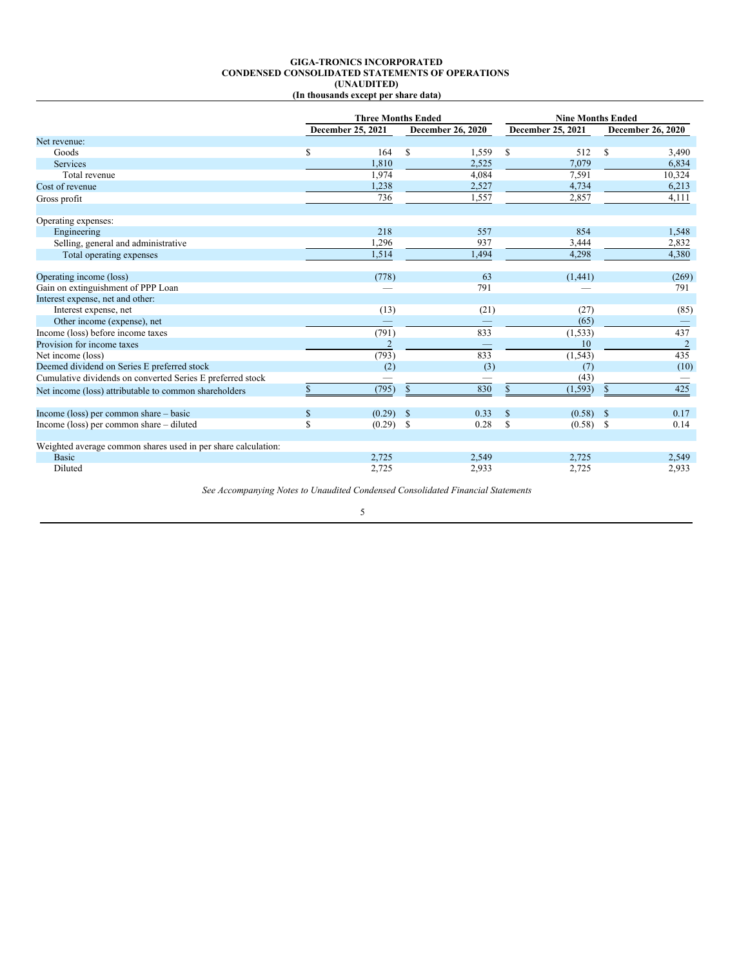#### **GIGA-TRONICS INCORPORATED CONDENSED CONSOLIDATED STATEMENTS OF OPERATIONS (UNAUDITED) (In thousands except per share data)**

|                                                               | <b>Three Months Ended</b> |                   |               | <b>Nine Months Ended</b> |               |                          |    |                          |
|---------------------------------------------------------------|---------------------------|-------------------|---------------|--------------------------|---------------|--------------------------|----|--------------------------|
|                                                               |                           | December 25, 2021 |               | <b>December 26, 2020</b> |               | <b>December 25, 2021</b> |    | <b>December 26, 2020</b> |
| Net revenue:                                                  |                           |                   |               |                          |               |                          |    |                          |
| Goods                                                         | \$                        | 164               | $\mathbb{S}$  | 1,559                    | <sup>\$</sup> | 512                      | S  | 3,490                    |
| Services                                                      |                           | 1.810             |               | 2,525                    |               | 7,079                    |    | 6,834                    |
| Total revenue                                                 |                           | 1,974             |               | 4,084                    |               | 7,591                    |    | 10,324                   |
| Cost of revenue                                               |                           | 1,238             |               | 2,527                    |               | 4,734                    |    | 6,213                    |
| Gross profit                                                  |                           | 736               |               | 1,557                    |               | 2,857                    |    | 4,111                    |
| Operating expenses:                                           |                           |                   |               |                          |               |                          |    |                          |
| Engineering                                                   |                           | 218               |               | 557                      |               | 854                      |    | 1,548                    |
| Selling, general and administrative                           |                           | 1,296             |               | 937                      |               | 3,444                    |    | 2,832                    |
| Total operating expenses                                      |                           | 1,514             |               | 1,494                    |               | 4,298                    |    | 4,380                    |
| Operating income (loss)                                       |                           | (778)             |               | 63                       |               | (1,441)                  |    | (269)                    |
| Gain on extinguishment of PPP Loan                            |                           |                   |               | 791                      |               |                          |    | 791                      |
| Interest expense, net and other:                              |                           |                   |               |                          |               |                          |    |                          |
| Interest expense, net                                         |                           | (13)              |               | (21)                     |               | (27)                     |    | (85)                     |
| Other income (expense), net                                   |                           |                   |               |                          |               | (65)                     |    |                          |
| Income (loss) before income taxes                             |                           | (791)             |               | 833                      |               | (1, 533)                 |    | 437                      |
| Provision for income taxes                                    |                           | $\overline{2}$    |               |                          |               | 10                       |    | 2                        |
| Net income (loss)                                             |                           | (793)             |               | 833                      |               | (1, 543)                 |    | 435                      |
| Deemed dividend on Series E preferred stock                   |                           | (2)               |               | (3)                      |               | (7)                      |    | (10)                     |
| Cumulative dividends on converted Series E preferred stock    |                           |                   |               |                          |               | (43)                     |    |                          |
| Net income (loss) attributable to common shareholders         |                           | (795)             | $\mathbb{S}$  | 830                      | \$            | (1, 593)                 | \$ | 425                      |
| Income (loss) per common share – basic                        | $\mathbf S$               | (0.29)            | $\mathbb{S}$  | 0.33                     | S             | $(0.58)$ \$              |    | 0.17                     |
| Income (loss) per common share – diluted                      | S                         | (0.29)            | <sup>\$</sup> | 0.28                     | <sup>\$</sup> | $(0.58)$ \$              |    | 0.14                     |
| Weighted average common shares used in per share calculation: |                           |                   |               |                          |               |                          |    |                          |
| <b>Basic</b>                                                  |                           | 2,725             |               | 2,549                    |               | 2,725                    |    | 2,549                    |
| Diluted                                                       |                           | 2,725             |               | 2,933                    |               | 2,725                    |    | 2,933                    |

*See Accompanying Notes to Unaudited Condensed Consolidated Financial Statements*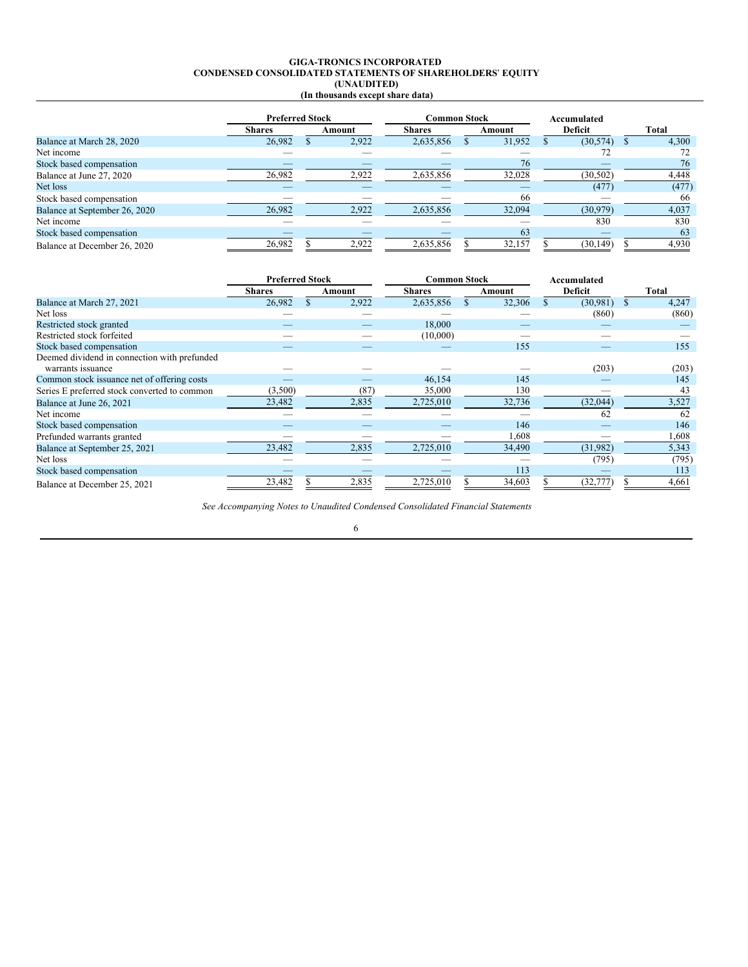#### **GIGA-TRONICS INCORPORATED CONDENSED CONSOLIDATED STATEMENTS OF SHAREHOLDERS**' **EQUITY (UNAUDITED) (In thousands except share data)**

|                               |               | <b>Preferred Stock</b> |                          | Common Stock  |  |        | Accumulated |           |  |       |
|-------------------------------|---------------|------------------------|--------------------------|---------------|--|--------|-------------|-----------|--|-------|
|                               | <b>Shares</b> |                        | Amount                   | <b>Shares</b> |  | Amount |             | Deficit   |  | Total |
| Balance at March 28, 2020     | 26.982        |                        | 2.922                    | 2,635,856     |  | 31.952 |             | (30, 574) |  | 4.300 |
| Net income                    |               |                        |                          |               |  |        |             | 72        |  | 72    |
| Stock based compensation      |               |                        |                          |               |  | 76     |             |           |  | 76    |
| Balance at June 27, 2020      | 26,982        |                        | 2,922                    | 2,635,856     |  | 32,028 |             | (30, 502) |  | 4,448 |
| Net loss                      | _             |                        | $\overline{\phantom{a}}$ | _             |  | _      |             | (477)     |  | (477) |
| Stock based compensation      |               |                        |                          |               |  | 66     |             |           |  | 66    |
| Balance at September 26, 2020 | 26,982        |                        | 2,922                    | 2,635,856     |  | 32,094 |             | (30,979)  |  | 4,037 |
| Net income                    |               |                        |                          |               |  |        |             | 830       |  | 830   |
| Stock based compensation      |               |                        |                          |               |  | 63     |             |           |  | 63    |
| Balance at December 26, 2020  | 26,982        |                        | 2,922                    | 2,635,856     |  | 32,157 |             | (30, 149) |  | 4,930 |

|                                              | <b>Preferred Stock</b> |        | <b>Common Stock</b> |        | Accumulated |       |
|----------------------------------------------|------------------------|--------|---------------------|--------|-------------|-------|
|                                              | <b>Shares</b>          | Amount | <b>Shares</b>       | Amount | Deficit     | Total |
| Balance at March 27, 2021                    | 26,982                 | 2,922  | 2,635,856           | 32,306 | (30, 981)   | 4,247 |
| Net loss                                     |                        |        |                     |        | (860)       | (860) |
| Restricted stock granted                     |                        |        | 18,000              |        |             |       |
| Restricted stock forfeited                   |                        |        | (10,000)            |        |             |       |
| Stock based compensation                     |                        |        |                     | 155    |             | 155   |
| Deemed dividend in connection with prefunded |                        |        |                     |        |             |       |
| warrants issuance                            |                        |        |                     |        | (203)       | (203) |
| Common stock issuance net of offering costs  |                        |        | 46,154              | 145    |             | 145   |
| Series E preferred stock converted to common | (3,500)                | (87)   | 35,000              | 130    |             | 43    |
| Balance at June 26, 2021                     | 23,482                 | 2,835  | 2,725,010           | 32,736 | (32,044)    | 3,527 |
| Net income                                   |                        |        |                     |        | 62          | 62    |
| Stock based compensation                     |                        |        |                     | 146    |             | 146   |
| Prefunded warrants granted                   |                        |        |                     | 1,608  |             | 1,608 |
| Balance at September 25, 2021                | 23,482                 | 2,835  | 2,725,010           | 34,490 | (31,982)    | 5,343 |
| Net loss                                     |                        |        |                     |        | (795)       | (795) |
| Stock based compensation                     |                        |        |                     | 113    |             | 113   |
| Balance at December 25, 2021                 | 23,482                 | 2,835  | 2,725,010           | 34,603 | (32, 777)   | 4,661 |

*See Accompanying Notes to Unaudited Condensed Consolidated Financial Statements*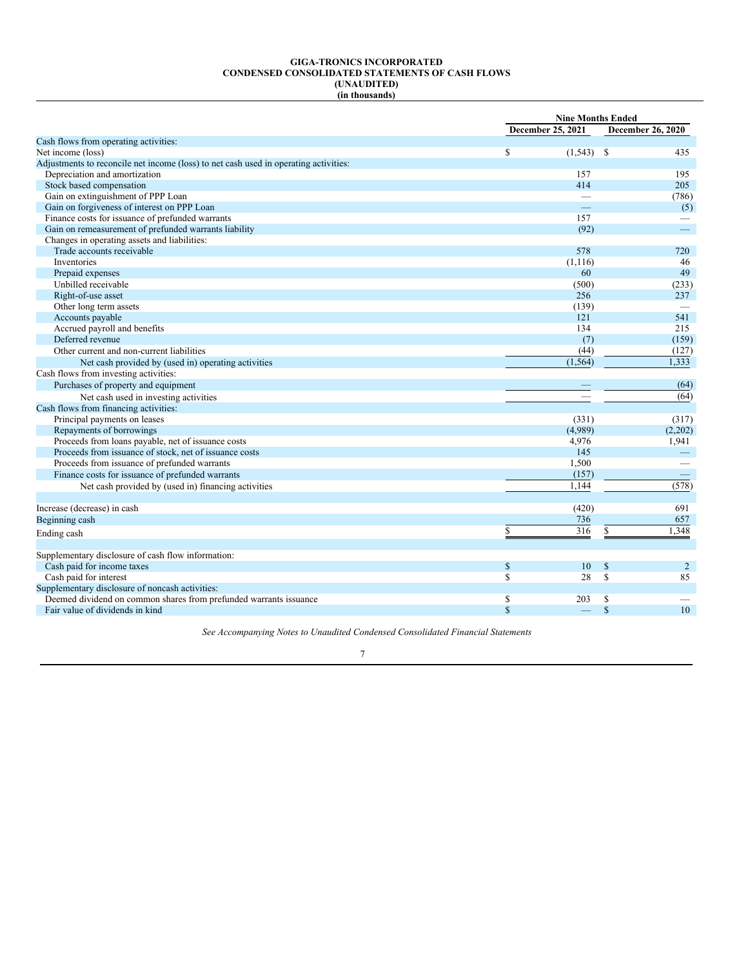#### **GIGA-TRONICS INCORPORATED CONDENSED CONSOLIDATED STATEMENTS OF CASH FLOWS (UNAUDITED) (in thousands)**

| December 25, 2021<br>Cash flows from operating activities:<br>\$<br>Net income (loss)<br>$(1,543)$ \$<br>Adjustments to reconcile net income (loss) to net cash used in operating activities:<br>Depreciation and amortization<br>157<br>Stock based compensation<br>414<br>Gain on extinguishment of PPP Loan<br>$\overline{\phantom{0}}$<br>Gain on forgiveness of interest on PPP Loan<br><u>e a</u><br>Finance costs for issuance of prefunded warrants<br>157<br>Gain on remeasurement of prefunded warrants liability<br>(92)<br>Changes in operating assets and liabilities:<br>Trade accounts receivable<br>578<br>Inventories<br>(1, 116)<br>Prepaid expenses<br>60<br>Unbilled receivable<br>(500)<br>Right-of-use asset<br>256<br>Other long term assets<br>(139)<br>Accounts payable<br>121<br>Accrued payroll and benefits<br>134<br>Deferred revenue<br>(7)<br>(44)<br>Other current and non-current liabilities<br>(1, 564)<br>Net cash provided by (used in) operating activities<br>Cash flows from investing activities:<br>Purchases of property and equipment<br>Net cash used in investing activities<br>Cash flows from financing activities:<br>Principal payments on leases<br>(331)<br>Repayments of borrowings<br>(4,989)<br>Proceeds from loans payable, net of issuance costs<br>4,976<br>Proceeds from issuance of stock, net of issuance costs<br>145<br>Proceeds from issuance of prefunded warrants<br>1,500<br>(157)<br>Finance costs for issuance of prefunded warrants<br>1,144<br>Net cash provided by (used in) financing activities<br>Increase (decrease) in cash<br>(420) |  | <b>Nine Months Ended</b> |
|-------------------------------------------------------------------------------------------------------------------------------------------------------------------------------------------------------------------------------------------------------------------------------------------------------------------------------------------------------------------------------------------------------------------------------------------------------------------------------------------------------------------------------------------------------------------------------------------------------------------------------------------------------------------------------------------------------------------------------------------------------------------------------------------------------------------------------------------------------------------------------------------------------------------------------------------------------------------------------------------------------------------------------------------------------------------------------------------------------------------------------------------------------------------------------------------------------------------------------------------------------------------------------------------------------------------------------------------------------------------------------------------------------------------------------------------------------------------------------------------------------------------------------------------------------------------------------------------------------------------|--|--------------------------|
|                                                                                                                                                                                                                                                                                                                                                                                                                                                                                                                                                                                                                                                                                                                                                                                                                                                                                                                                                                                                                                                                                                                                                                                                                                                                                                                                                                                                                                                                                                                                                                                                                   |  | <b>December 26, 2020</b> |
|                                                                                                                                                                                                                                                                                                                                                                                                                                                                                                                                                                                                                                                                                                                                                                                                                                                                                                                                                                                                                                                                                                                                                                                                                                                                                                                                                                                                                                                                                                                                                                                                                   |  |                          |
|                                                                                                                                                                                                                                                                                                                                                                                                                                                                                                                                                                                                                                                                                                                                                                                                                                                                                                                                                                                                                                                                                                                                                                                                                                                                                                                                                                                                                                                                                                                                                                                                                   |  | 435                      |
|                                                                                                                                                                                                                                                                                                                                                                                                                                                                                                                                                                                                                                                                                                                                                                                                                                                                                                                                                                                                                                                                                                                                                                                                                                                                                                                                                                                                                                                                                                                                                                                                                   |  |                          |
|                                                                                                                                                                                                                                                                                                                                                                                                                                                                                                                                                                                                                                                                                                                                                                                                                                                                                                                                                                                                                                                                                                                                                                                                                                                                                                                                                                                                                                                                                                                                                                                                                   |  | 195                      |
|                                                                                                                                                                                                                                                                                                                                                                                                                                                                                                                                                                                                                                                                                                                                                                                                                                                                                                                                                                                                                                                                                                                                                                                                                                                                                                                                                                                                                                                                                                                                                                                                                   |  | 205                      |
|                                                                                                                                                                                                                                                                                                                                                                                                                                                                                                                                                                                                                                                                                                                                                                                                                                                                                                                                                                                                                                                                                                                                                                                                                                                                                                                                                                                                                                                                                                                                                                                                                   |  | (786)                    |
|                                                                                                                                                                                                                                                                                                                                                                                                                                                                                                                                                                                                                                                                                                                                                                                                                                                                                                                                                                                                                                                                                                                                                                                                                                                                                                                                                                                                                                                                                                                                                                                                                   |  | (5)                      |
|                                                                                                                                                                                                                                                                                                                                                                                                                                                                                                                                                                                                                                                                                                                                                                                                                                                                                                                                                                                                                                                                                                                                                                                                                                                                                                                                                                                                                                                                                                                                                                                                                   |  |                          |
|                                                                                                                                                                                                                                                                                                                                                                                                                                                                                                                                                                                                                                                                                                                                                                                                                                                                                                                                                                                                                                                                                                                                                                                                                                                                                                                                                                                                                                                                                                                                                                                                                   |  | $\overline{\phantom{0}}$ |
|                                                                                                                                                                                                                                                                                                                                                                                                                                                                                                                                                                                                                                                                                                                                                                                                                                                                                                                                                                                                                                                                                                                                                                                                                                                                                                                                                                                                                                                                                                                                                                                                                   |  |                          |
|                                                                                                                                                                                                                                                                                                                                                                                                                                                                                                                                                                                                                                                                                                                                                                                                                                                                                                                                                                                                                                                                                                                                                                                                                                                                                                                                                                                                                                                                                                                                                                                                                   |  | 720                      |
|                                                                                                                                                                                                                                                                                                                                                                                                                                                                                                                                                                                                                                                                                                                                                                                                                                                                                                                                                                                                                                                                                                                                                                                                                                                                                                                                                                                                                                                                                                                                                                                                                   |  | 46                       |
|                                                                                                                                                                                                                                                                                                                                                                                                                                                                                                                                                                                                                                                                                                                                                                                                                                                                                                                                                                                                                                                                                                                                                                                                                                                                                                                                                                                                                                                                                                                                                                                                                   |  | 49                       |
|                                                                                                                                                                                                                                                                                                                                                                                                                                                                                                                                                                                                                                                                                                                                                                                                                                                                                                                                                                                                                                                                                                                                                                                                                                                                                                                                                                                                                                                                                                                                                                                                                   |  | (233)                    |
|                                                                                                                                                                                                                                                                                                                                                                                                                                                                                                                                                                                                                                                                                                                                                                                                                                                                                                                                                                                                                                                                                                                                                                                                                                                                                                                                                                                                                                                                                                                                                                                                                   |  | 237                      |
|                                                                                                                                                                                                                                                                                                                                                                                                                                                                                                                                                                                                                                                                                                                                                                                                                                                                                                                                                                                                                                                                                                                                                                                                                                                                                                                                                                                                                                                                                                                                                                                                                   |  |                          |
|                                                                                                                                                                                                                                                                                                                                                                                                                                                                                                                                                                                                                                                                                                                                                                                                                                                                                                                                                                                                                                                                                                                                                                                                                                                                                                                                                                                                                                                                                                                                                                                                                   |  | 541                      |
|                                                                                                                                                                                                                                                                                                                                                                                                                                                                                                                                                                                                                                                                                                                                                                                                                                                                                                                                                                                                                                                                                                                                                                                                                                                                                                                                                                                                                                                                                                                                                                                                                   |  | 215                      |
|                                                                                                                                                                                                                                                                                                                                                                                                                                                                                                                                                                                                                                                                                                                                                                                                                                                                                                                                                                                                                                                                                                                                                                                                                                                                                                                                                                                                                                                                                                                                                                                                                   |  | (159)                    |
|                                                                                                                                                                                                                                                                                                                                                                                                                                                                                                                                                                                                                                                                                                                                                                                                                                                                                                                                                                                                                                                                                                                                                                                                                                                                                                                                                                                                                                                                                                                                                                                                                   |  | (127)                    |
|                                                                                                                                                                                                                                                                                                                                                                                                                                                                                                                                                                                                                                                                                                                                                                                                                                                                                                                                                                                                                                                                                                                                                                                                                                                                                                                                                                                                                                                                                                                                                                                                                   |  | 1,333                    |
|                                                                                                                                                                                                                                                                                                                                                                                                                                                                                                                                                                                                                                                                                                                                                                                                                                                                                                                                                                                                                                                                                                                                                                                                                                                                                                                                                                                                                                                                                                                                                                                                                   |  |                          |
|                                                                                                                                                                                                                                                                                                                                                                                                                                                                                                                                                                                                                                                                                                                                                                                                                                                                                                                                                                                                                                                                                                                                                                                                                                                                                                                                                                                                                                                                                                                                                                                                                   |  | (64)                     |
|                                                                                                                                                                                                                                                                                                                                                                                                                                                                                                                                                                                                                                                                                                                                                                                                                                                                                                                                                                                                                                                                                                                                                                                                                                                                                                                                                                                                                                                                                                                                                                                                                   |  | (64)                     |
|                                                                                                                                                                                                                                                                                                                                                                                                                                                                                                                                                                                                                                                                                                                                                                                                                                                                                                                                                                                                                                                                                                                                                                                                                                                                                                                                                                                                                                                                                                                                                                                                                   |  |                          |
|                                                                                                                                                                                                                                                                                                                                                                                                                                                                                                                                                                                                                                                                                                                                                                                                                                                                                                                                                                                                                                                                                                                                                                                                                                                                                                                                                                                                                                                                                                                                                                                                                   |  | (317)                    |
|                                                                                                                                                                                                                                                                                                                                                                                                                                                                                                                                                                                                                                                                                                                                                                                                                                                                                                                                                                                                                                                                                                                                                                                                                                                                                                                                                                                                                                                                                                                                                                                                                   |  | (2,202)                  |
|                                                                                                                                                                                                                                                                                                                                                                                                                                                                                                                                                                                                                                                                                                                                                                                                                                                                                                                                                                                                                                                                                                                                                                                                                                                                                                                                                                                                                                                                                                                                                                                                                   |  | 1,941                    |
|                                                                                                                                                                                                                                                                                                                                                                                                                                                                                                                                                                                                                                                                                                                                                                                                                                                                                                                                                                                                                                                                                                                                                                                                                                                                                                                                                                                                                                                                                                                                                                                                                   |  | $\frac{1}{2}$            |
|                                                                                                                                                                                                                                                                                                                                                                                                                                                                                                                                                                                                                                                                                                                                                                                                                                                                                                                                                                                                                                                                                                                                                                                                                                                                                                                                                                                                                                                                                                                                                                                                                   |  |                          |
|                                                                                                                                                                                                                                                                                                                                                                                                                                                                                                                                                                                                                                                                                                                                                                                                                                                                                                                                                                                                                                                                                                                                                                                                                                                                                                                                                                                                                                                                                                                                                                                                                   |  |                          |
|                                                                                                                                                                                                                                                                                                                                                                                                                                                                                                                                                                                                                                                                                                                                                                                                                                                                                                                                                                                                                                                                                                                                                                                                                                                                                                                                                                                                                                                                                                                                                                                                                   |  | (578)                    |
|                                                                                                                                                                                                                                                                                                                                                                                                                                                                                                                                                                                                                                                                                                                                                                                                                                                                                                                                                                                                                                                                                                                                                                                                                                                                                                                                                                                                                                                                                                                                                                                                                   |  |                          |
|                                                                                                                                                                                                                                                                                                                                                                                                                                                                                                                                                                                                                                                                                                                                                                                                                                                                                                                                                                                                                                                                                                                                                                                                                                                                                                                                                                                                                                                                                                                                                                                                                   |  | 691                      |
| 736<br>Beginning cash                                                                                                                                                                                                                                                                                                                                                                                                                                                                                                                                                                                                                                                                                                                                                                                                                                                                                                                                                                                                                                                                                                                                                                                                                                                                                                                                                                                                                                                                                                                                                                                             |  | 657                      |
| 316<br>S<br>S<br>Ending cash                                                                                                                                                                                                                                                                                                                                                                                                                                                                                                                                                                                                                                                                                                                                                                                                                                                                                                                                                                                                                                                                                                                                                                                                                                                                                                                                                                                                                                                                                                                                                                                      |  | 1,348                    |
|                                                                                                                                                                                                                                                                                                                                                                                                                                                                                                                                                                                                                                                                                                                                                                                                                                                                                                                                                                                                                                                                                                                                                                                                                                                                                                                                                                                                                                                                                                                                                                                                                   |  |                          |
| Supplementary disclosure of cash flow information:                                                                                                                                                                                                                                                                                                                                                                                                                                                                                                                                                                                                                                                                                                                                                                                                                                                                                                                                                                                                                                                                                                                                                                                                                                                                                                                                                                                                                                                                                                                                                                |  |                          |
| Cash paid for income taxes<br>$\mathbb S$<br>10<br>$\mathbb S$                                                                                                                                                                                                                                                                                                                                                                                                                                                                                                                                                                                                                                                                                                                                                                                                                                                                                                                                                                                                                                                                                                                                                                                                                                                                                                                                                                                                                                                                                                                                                    |  | 2                        |
| $\mathbb{S}$<br>28<br>S<br>Cash paid for interest                                                                                                                                                                                                                                                                                                                                                                                                                                                                                                                                                                                                                                                                                                                                                                                                                                                                                                                                                                                                                                                                                                                                                                                                                                                                                                                                                                                                                                                                                                                                                                 |  | 85                       |
| Supplementary disclosure of noncash activities:                                                                                                                                                                                                                                                                                                                                                                                                                                                                                                                                                                                                                                                                                                                                                                                                                                                                                                                                                                                                                                                                                                                                                                                                                                                                                                                                                                                                                                                                                                                                                                   |  |                          |
| \$<br>Deemed dividend on common shares from prefunded warrants issuance<br>203<br>\$                                                                                                                                                                                                                                                                                                                                                                                                                                                                                                                                                                                                                                                                                                                                                                                                                                                                                                                                                                                                                                                                                                                                                                                                                                                                                                                                                                                                                                                                                                                              |  |                          |
| $\mathbf S$<br>$\mathbf S$<br>Fair value of dividends in kind                                                                                                                                                                                                                                                                                                                                                                                                                                                                                                                                                                                                                                                                                                                                                                                                                                                                                                                                                                                                                                                                                                                                                                                                                                                                                                                                                                                                                                                                                                                                                     |  | 10                       |

*See Accompanying Notes to Unaudited Condensed Consolidated Financial Statements*

|  | I |  |
|--|---|--|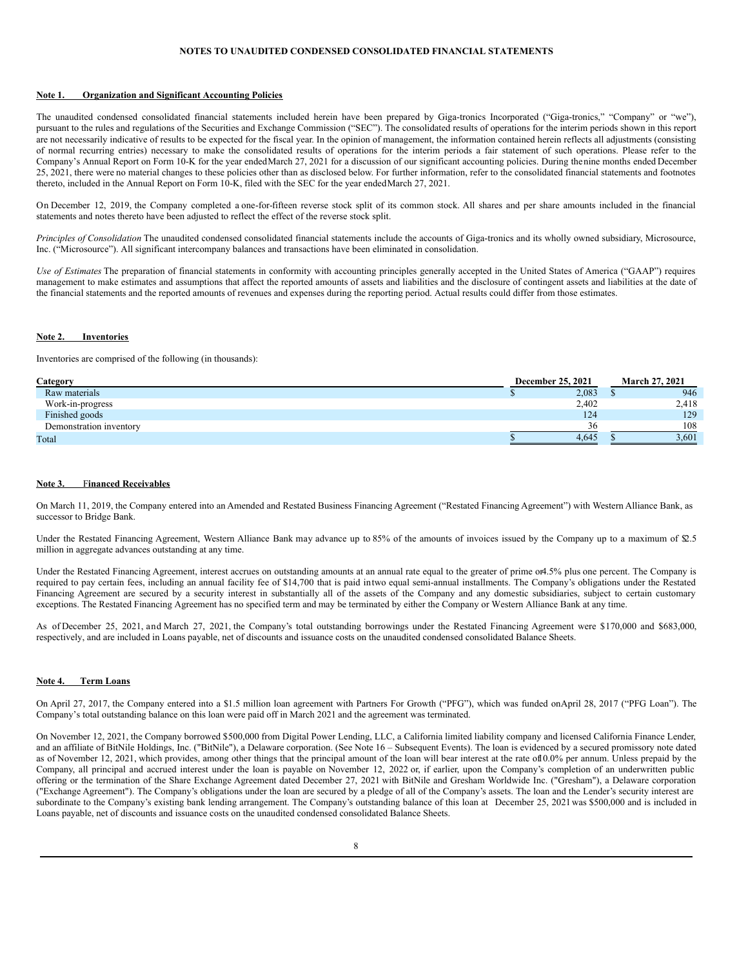### **NOTES TO UNAUDITED CONDENSED CONSOLIDATED FINANCIAL STATEMENTS**

#### **Note 1. Organization and Significant Accounting Policies**

The unaudited condensed consolidated financial statements included herein have been prepared by Giga-tronics Incorporated ("Giga-tronics," "Company" or "we"), pursuant to the rules and regulations of the Securities and Exchange Commission ("SEC"). The consolidated results of operations for the interim periods shown in this report are not necessarily indicative of results to be expected for the fiscal year. In the opinion of management, the information contained herein reflects all adjustments (consisting of normal recurring entries) necessary to make the consolidated results of operations for the interim periods a fair statement of such operations. Please refer to the Company's Annual Report on Form 10-K for the year endedMarch 27, 2021 for a discussion of our significant accounting policies. During thenine months ended December 25, 2021, there were no material changes to these policies other than as disclosed below. For further information, refer to the consolidated financial statements and footnotes thereto, included in the Annual Report on Form 10-K, filed with the SEC for the year endedMarch 27, 2021.

On December 12, 2019, the Company completed a one-for-fifteen reverse stock split of its common stock. All shares and per share amounts included in the financial statements and notes thereto have been adjusted to reflect the effect of the reverse stock split.

*Principles of Consolidation* The unaudited condensed consolidated financial statements include the accounts of Giga-tronics and its wholly owned subsidiary, Microsource, Inc. ("Microsource"). All significant intercompany balances and transactions have been eliminated in consolidation.

*Use of Estimates* The preparation of financial statements in conformity with accounting principles generally accepted in the United States of America ("GAAP") requires management to make estimates and assumptions that affect the reported amounts of assets and liabilities and the disclosure of contingent assets and liabilities at the date of the financial statements and the reported amounts of revenues and expenses during the reporting period. Actual results could differ from those estimates.

#### **Note 2. Inventories**

Inventories are comprised of the following (in thousands):

| Category                | <b>December 25, 2021</b> | <b>March 27, 2021</b> |       |  |
|-------------------------|--------------------------|-----------------------|-------|--|
| Raw materials           | 2,083                    |                       | 946   |  |
| Work-in-progress        | 2,402                    |                       | 2,418 |  |
| Finished goods          | 124                      |                       | 129   |  |
| Demonstration inventory | 36                       |                       | 108   |  |
| Total                   | 4.645                    |                       | 3.601 |  |

### **Note 3.** F**inanced Receivables**

On March 11, 2019, the Company entered into an Amended and Restated Business Financing Agreement ("Restated Financing Agreement") with Western Alliance Bank, as successor to Bridge Bank.

Under the Restated Financing Agreement, Western Alliance Bank may advance up to 85% of the amounts of invoices issued by the Company up to a maximum of \$2.5 million in aggregate advances outstanding at any time.

Under the Restated Financing Agreement, interest accrues on outstanding amounts at an annual rate equal to the greater of prime or4.5% plus one percent. The Company is required to pay certain fees, including an annual facility fee of \$14,700 that is paid intwo equal semi-annual installments. The Company's obligations under the Restated Financing Agreement are secured by a security interest in substantially all of the assets of the Company and any domestic subsidiaries, subject to certain customary exceptions. The Restated Financing Agreement has no specified term and may be terminated by either the Company or Western Alliance Bank at any time.

As of December 25, 2021, and March 27, 2021, the Company's total outstanding borrowings under the Restated Financing Agreement were \$170,000 and \$683,000, respectively, and are included in Loans payable, net of discounts and issuance costs on the unaudited condensed consolidated Balance Sheets.

## **Note 4. Term Loans**

On April 27, 2017, the Company entered into a \$1.5 million loan agreement with Partners For Growth ("PFG"), which was funded onApril 28, 2017 ("PFG Loan"). The Company's total outstanding balance on this loan were paid off in March 2021 and the agreement was terminated.

On November 12, 2021, the Company borrowed \$500,000 from Digital Power Lending, LLC, a California limited liability company and licensed California Finance Lender, and an affiliate of BitNile Holdings, Inc. ("BitNile"), a Delaware corporation. (See Note 16 – Subsequent Events). The loan is evidenced by a secured promissory note dated as of November 12, 2021, which provides, among other things that the principal amount of the loan will bear interest at the rate of10.0% per annum. Unless prepaid by the Company, all principal and accrued interest under the loan is payable on November 12, 2022 or, if earlier, upon the Company's completion of an underwritten public offering or the termination of the Share Exchange Agreement dated December 27, 2021 with BitNile and Gresham Worldwide Inc. ("Gresham"), a Delaware corporation ("Exchange Agreement"). The Company's obligations under the loan are secured by a pledge of all of the Company's assets. The loan and the Lender's security interest are subordinate to the Company's existing bank lending arrangement. The Company's outstanding balance of this loan at December 25, 2021 was \$500,000 and is included in Loans payable, net of discounts and issuance costs on the unaudited condensed consolidated Balance Sheets.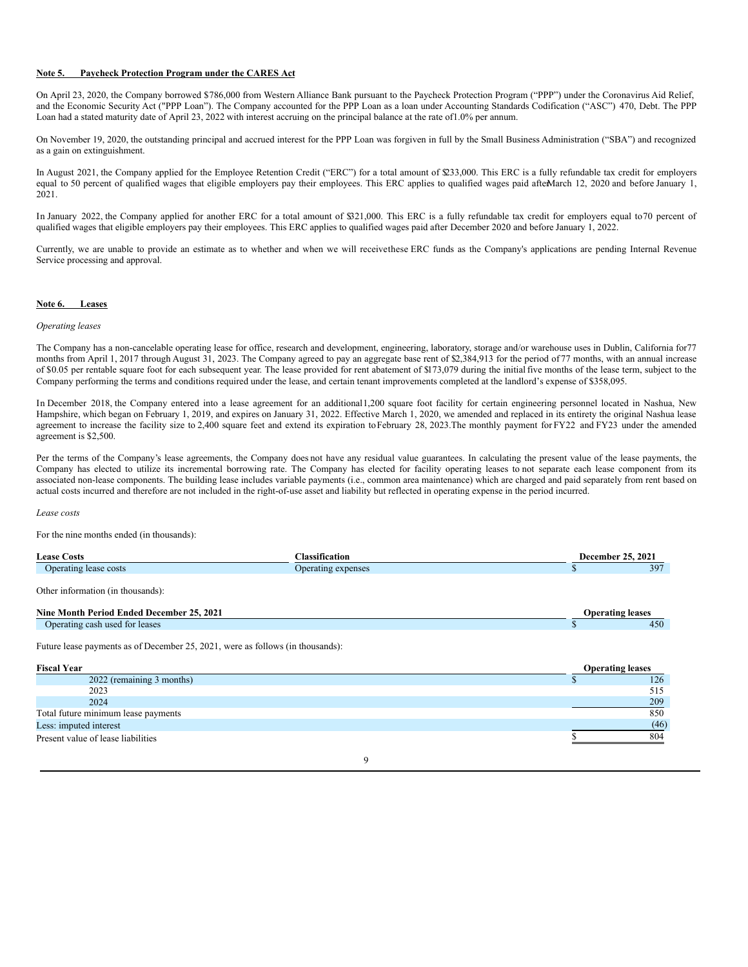## **Note 5. Paycheck Protection Program under the CARES Act**

On April 23, 2020, the Company borrowed \$786,000 from Western Alliance Bank pursuant to the Paycheck Protection Program ("PPP") under the Coronavirus Aid Relief, and the Economic Security Act ("PPP Loan"). The Company accounted for the PPP Loan as a loan under Accounting Standards Codification ("ASC") 470, Debt. The PPP Loan had a stated maturity date of April 23, 2022 with interest accruing on the principal balance at the rate of1.0% per annum.

On November 19, 2020, the outstanding principal and accrued interest for the PPP Loan was forgiven in full by the Small Business Administration ("SBA") and recognized as a gain on extinguishment.

In August 2021, the Company applied for the Employee Retention Credit ("ERC") for a total amount of \$233,000. This ERC is a fully refundable tax credit for employers equal to 50 percent of qualified wages that eligible employers pay their employees. This ERC applies to qualified wages paid afterMarch 12, 2020 and before January 1, 2021.

In January 2022, the Company applied for another ERC for a total amount of \$321,000. This ERC is a fully refundable tax credit for employers equal to70 percent of qualified wages that eligible employers pay their employees. This ERC applies to qualified wages paid after December 2020 and before January 1, 2022.

Currently, we are unable to provide an estimate as to whether and when we will receivethese ERC funds as the Company's applications are pending Internal Revenue Service processing and approval.

### **Note 6. Leases**

#### *Operating leases*

The Company has a non-cancelable operating lease for office, research and development, engineering, laboratory, storage and/or warehouse uses in Dublin, California for77 months from April 1, 2017 through August 31, 2023. The Company agreed to pay an aggregate base rent of \$2,384,913 for the period of 77 months, with an annual increase of \$0.05 per rentable square foot for each subsequent year. The lease provided for rent abatement of \$173,079 during the initial five months of the lease term, subject to the Company performing the terms and conditions required under the lease, and certain tenant improvements completed at the landlord's expense of \$358,095.

In December 2018, the Company entered into a lease agreement for an additional1,200 square foot facility for certain engineering personnel located in Nashua, New Hampshire, which began on February 1, 2019, and expires on January 31, 2022. Effective March 1, 2020, we amended and replaced in its entirety the original Nashua lease agreement to increase the facility size to 2,400 square feet and extend its expiration toFebruary 28, 2023. The monthly payment for FY22 and FY23 under the amended agreement is \$2,500.

Per the terms of the Company's lease agreements, the Company does not have any residual value guarantees. In calculating the present value of the lease payments, the Company has elected to utilize its incremental borrowing rate. The Company has elected for facility operating leases to not separate each lease component from its associated non-lease components. The building lease includes variable payments (i.e., common area maintenance) which are charged and paid separately from rent based on actual costs incurred and therefore are not included in the right-of-use asset and liability but reflected in operating expense in the period incurred.

#### *Lease costs*

For the nine months ended (in thousands):

| <b>Lease Costs</b>                                                                                   | <b>Classification</b> | December 25, 2021       |      |
|------------------------------------------------------------------------------------------------------|-----------------------|-------------------------|------|
| Operating lease costs                                                                                | Operating expenses    |                         | 397  |
| Other information (in thousands):                                                                    |                       |                         |      |
| Nine Month Period Ended December 25, 2021                                                            |                       | <b>Operating leases</b> |      |
| Operating cash used for leases                                                                       |                       |                         | 450  |
| Future lease payments as of December 25, 2021, were as follows (in thousands):<br><b>Fiscal Year</b> |                       | <b>Operating leases</b> |      |
| 2022 (remaining 3 months)                                                                            |                       |                         | 126  |
| 2023                                                                                                 |                       |                         | 515  |
| 2024                                                                                                 |                       |                         | 209  |
| Total future minimum lease payments                                                                  |                       |                         | 850  |
| Less: imputed interest                                                                               |                       |                         | (46) |
| Present value of lease liabilities                                                                   |                       |                         | 804  |

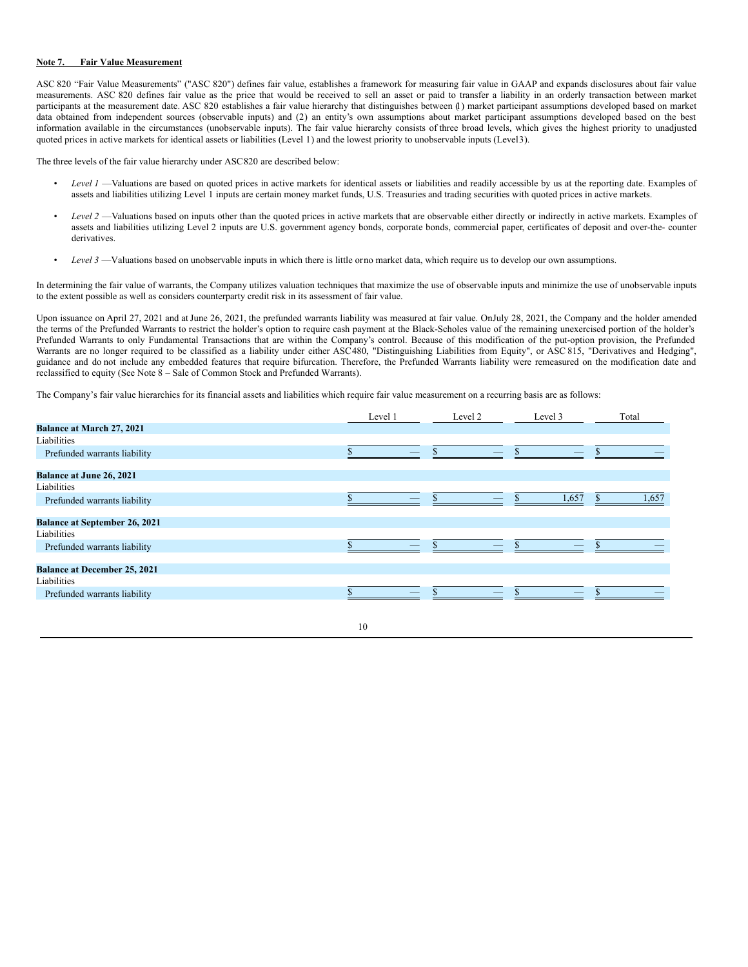#### **Note 7. Fair Value Measurement**

ASC 820 "Fair Value Measurements" ("ASC 820") defines fair value, establishes a framework for measuring fair value in GAAP and expands disclosures about fair value measurements. ASC 820 defines fair value as the price that would be received to sell an asset or paid to transfer a liability in an orderly transaction between market participants at the measurement date. ASC 820 establishes a fair value hierarchy that distinguishes between (1) market participant assumptions developed based on market data obtained from independent sources (observable inputs) and (2) an entity's own assumptions about market participant assumptions developed based on the best information available in the circumstances (unobservable inputs). The fair value hierarchy consists of three broad levels, which gives the highest priority to unadjusted quoted prices in active markets for identical assets or liabilities (Level 1) and the lowest priority to unobservable inputs (Level3).

The three levels of the fair value hierarchy under ASC820 are described below:

- Level 1 —Valuations are based on quoted prices in active markets for identical assets or liabilities and readily accessible by us at the reporting date. Examples of assets and liabilities utilizing Level 1 inputs are certain money market funds, U.S. Treasuries and trading securities with quoted prices in active markets.
- *Level 2* —Valuations based on inputs other than the quoted prices in active markets that are observable either directly or indirectly in active markets. Examples of assets and liabilities utilizing Level 2 inputs are U.S. government agency bonds, corporate bonds, commercial paper, certificates of deposit and over-the- counter derivatives.
- Level 3 —Valuations based on unobservable inputs in which there is little orno market data, which require us to develop our own assumptions.

In determining the fair value of warrants, the Company utilizes valuation techniques that maximize the use of observable inputs and minimize the use of unobservable inputs to the extent possible as well as considers counterparty credit risk in its assessment of fair value.

Upon issuance on April 27, 2021 and at June 26, 2021, the prefunded warrants liability was measured at fair value. On July 28, 2021, the Company and the holder amended the terms of the Prefunded Warrants to restrict the holder's option to require cash payment at the Black-Scholes value of the remaining unexercised portion of the holder's Prefunded Warrants to only Fundamental Transactions that are within the Company's control. Because of this modification of the put-option provision, the Prefunded Warrants are no longer required to be classified as a liability under either ASC480, "Distinguishing Liabilities from Equity", or ASC 815, "Derivatives and Hedging", guidance and do not include any embedded features that require bifurcation. Therefore, the Prefunded Warrants liability were remeasured on the modification date and reclassified to equity (See Note 8 – Sale of Common Stock and Prefunded Warrants).

The Company's fair value hierarchies for its financial assets and liabilities which require fair value measurement on a recurring basis are as follows:

|                                      | Level 1 | Level 2 | Level 3 | Total |
|--------------------------------------|---------|---------|---------|-------|
| <b>Balance at March 27, 2021</b>     |         |         |         |       |
| Liabilities                          |         |         |         |       |
| Prefunded warrants liability         |         |         |         |       |
| <b>Balance at June 26, 2021</b>      |         |         |         |       |
| Liabilities                          |         |         |         |       |
| Prefunded warrants liability         |         |         | 1,657   | 1,657 |
| <b>Balance at September 26, 2021</b> |         |         |         |       |
| Liabilities                          |         |         |         |       |
| Prefunded warrants liability         |         |         |         |       |
| <b>Balance at December 25, 2021</b>  |         |         |         |       |
| Liabilities                          |         |         |         |       |
| Prefunded warrants liability         |         |         |         |       |
|                                      |         |         |         |       |

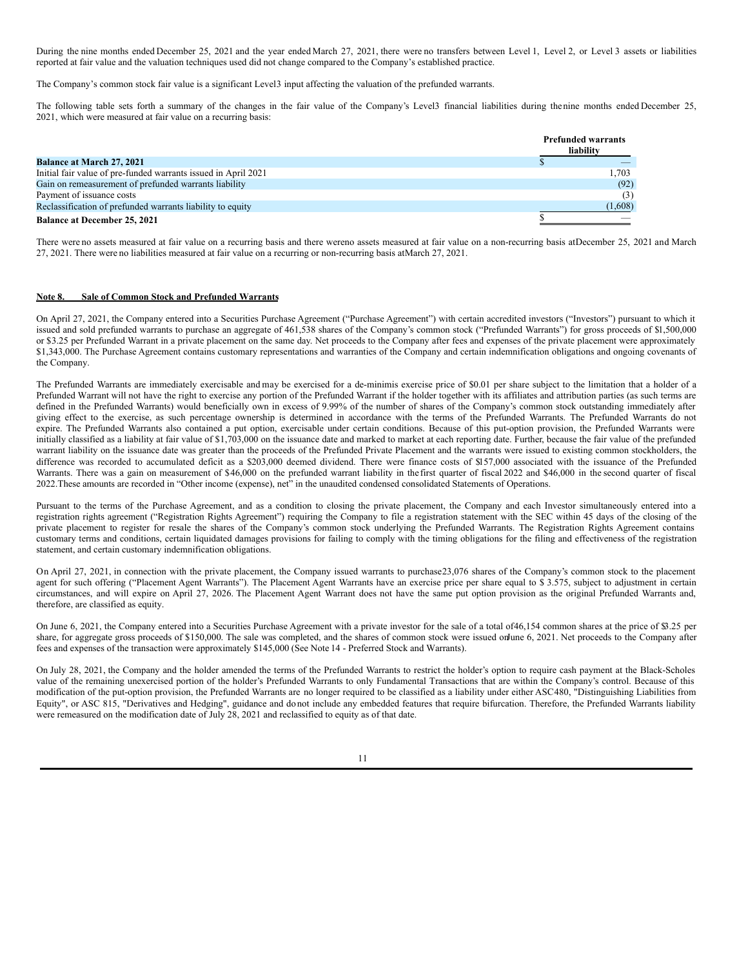During the nine months ended December 25, 2021 and the year ended March 27, 2021, there were no transfers between Level 1, Level 2, or Level 3 assets or liabilities reported at fair value and the valuation techniques used did not change compared to the Company's established practice.

The Company's common stock fair value is a significant Level3 input affecting the valuation of the prefunded warrants.

The following table sets forth a summary of the changes in the fair value of the Company's Level3 financial liabilities during thenine months ended December 25, 2021, which were measured at fair value on a recurring basis:

|                                                                | <b>Prefunded warrants</b><br>liability |         |
|----------------------------------------------------------------|----------------------------------------|---------|
| <b>Balance at March 27, 2021</b>                               |                                        |         |
| Initial fair value of pre-funded warrants issued in April 2021 |                                        | 1.703   |
| Gain on remeasurement of prefunded warrants liability          |                                        | (92)    |
| Payment of issuance costs                                      |                                        | (3)     |
| Reclassification of prefunded warrants liability to equity     |                                        | (1,608) |
| <b>Balance at December 25, 2021</b>                            |                                        |         |

There were no assets measured at fair value on a recurring basis and there wereno assets measured at fair value on a non-recurring basis atDecember 25, 2021 and March 27, 2021. There were no liabilities measured at fair value on a recurring or non-recurring basis atMarch 27, 2021.

# **Note 8. Sale of Common Stock and Prefunded Warrants**

On April 27, 2021, the Company entered into a Securities Purchase Agreement ("Purchase Agreement") with certain accredited investors ("Investors") pursuant to which it issued and sold prefunded warrants to purchase an aggregate of 461,538 shares of the Company's common stock ("Prefunded Warrants") for gross proceeds of \$1,500,000 or \$3.25 per Prefunded Warrant in a private placement on the same day. Net proceeds to the Company after fees and expenses of the private placement were approximately \$1,343,000. The Purchase Agreement contains customary representations and warranties of the Company and certain indemnification obligations and ongoing covenants of the Company.

The Prefunded Warrants are immediately exercisable and may be exercised for a de-minimis exercise price of \$0.01 per share subject to the limitation that a holder of a Prefunded Warrant will not have the right to exercise any portion of the Prefunded Warrant if the holder together with its affiliates and attribution parties (as such terms are defined in the Prefunded Warrants) would beneficially own in excess of 9.99% of the number of shares of the Company's common stock outstanding immediately after giving effect to the exercise, as such percentage ownership is determined in accordance with the terms of the Prefunded Warrants. The Prefunded Warrants do not expire. The Prefunded Warrants also contained a put option, exercisable under certain conditions. Because of this put-option provision, the Prefunded Warrants were initially classified as a liability at fair value of \$1,703,000 on the issuance date and marked to market at each reporting date. Further, because the fair value of the prefunded warrant liability on the issuance date was greater than the proceeds of the Prefunded Private Placement and the warrants were issued to existing common stockholders, the difference was recorded to accumulated deficit as a \$203,000 deemed dividend. There were finance costs of \$157,000 associated with the issuance of the Prefunded Warrants. There was a gain on measurement of \$46,000 on the prefunded warrant liability in the first quarter of fiscal 2022 and \$46,000 in the second quarter of fiscal 2022.These amounts are recorded in "Other income (expense), net" in the unaudited condensed consolidated Statements of Operations.

Pursuant to the terms of the Purchase Agreement, and as a condition to closing the private placement, the Company and each Investor simultaneously entered into a registration rights agreement ("Registration Rights Agreement") requiring the Company to file a registration statement with the SEC within 45 days of the closing of the private placement to register for resale the shares of the Company's common stock underlying the Prefunded Warrants. The Registration Rights Agreement contains customary terms and conditions, certain liquidated damages provisions for failing to comply with the timing obligations for the filing and effectiveness of the registration statement, and certain customary indemnification obligations.

On April 27, 2021, in connection with the private placement, the Company issued warrants to purchase23,076 shares of the Company's common stock to the placement agent for such offering ("Placement Agent Warrants"). The Placement Agent Warrants have an exercise price per share equal to \$ 3.575, subject to adjustment in certain circumstances, and will expire on April 27, 2026. The Placement Agent Warrant does not have the same put option provision as the original Prefunded Warrants and, therefore, are classified as equity.

On June 6, 2021, the Company entered into a Securities Purchase Agreement with a private investor for the sale of a total of46,154 common shares at the price of \$3.25 per share, for aggregate gross proceeds of \$150,000. The sale was completed, and the shares of common stock were issued onJune 6, 2021. Net proceeds to the Company after fees and expenses of the transaction were approximately \$145,000 (See Note 14 - Preferred Stock and Warrants).

On July 28, 2021, the Company and the holder amended the terms of the Prefunded Warrants to restrict the holder's option to require cash payment at the Black-Scholes value of the remaining unexercised portion of the holder's Prefunded Warrants to only Fundamental Transactions that are within the Company's control. Because of this modification of the put-option provision, the Prefunded Warrants are no longer required to be classified as a liability under either ASC480, "Distinguishing Liabilities from Equity", or ASC 815, "Derivatives and Hedging", guidance and do not include any embedded features that require bifurcation. Therefore, the Prefunded Warrants liability were remeasured on the modification date of July 28, 2021 and reclassified to equity as of that date.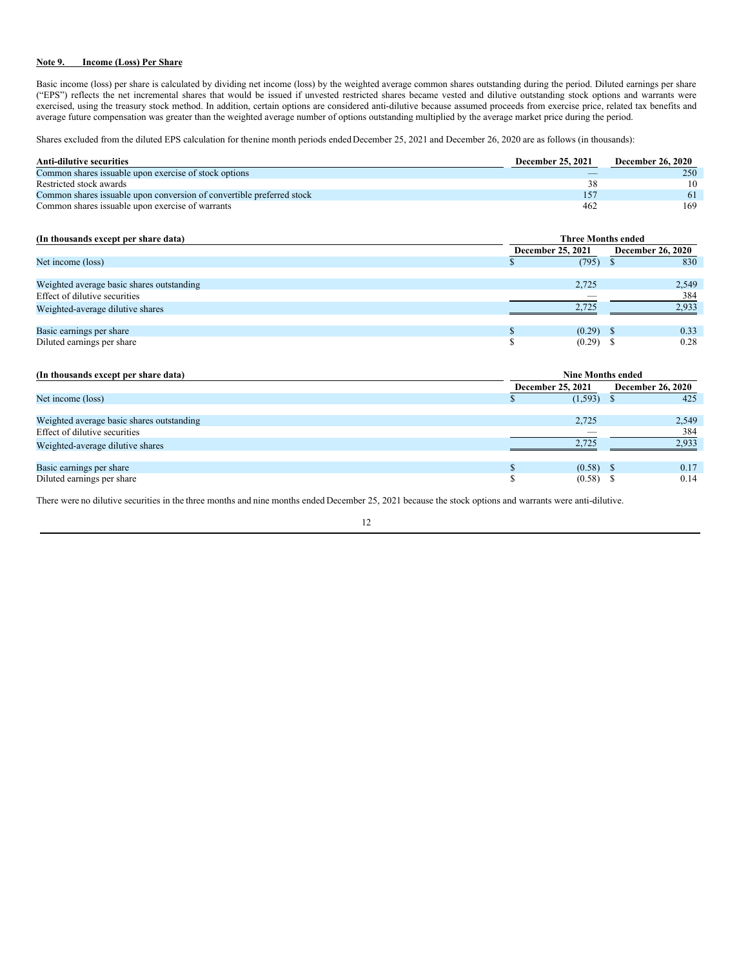## **Note 9. Income (Loss) Per Share**

Basic income (loss) per share is calculated by dividing net income (loss) by the weighted average common shares outstanding during the period. Diluted earnings per share ("EPS") reflects the net incremental shares that would be issued if unvested restricted shares became vested and dilutive outstanding stock options and warrants were exercised, using the treasury stock method. In addition, certain options are considered anti-dilutive because assumed proceeds from exercise price, related tax benefits and average future compensation was greater than the weighted average number of options outstanding multiplied by the average market price during the period.

Shares excluded from the diluted EPS calculation for thenine month periods endedDecember 25, 2021 and December 26, 2020 are as follows (in thousands):

| Anti-dilutive securities                                               | <b>December 25, 2021</b> | <b>December 26, 2020</b> |
|------------------------------------------------------------------------|--------------------------|--------------------------|
| Common shares is suable upon exercise of stock options                 |                          | 250                      |
| Restricted stock awards                                                | 38                       | 10                       |
| Common shares is suable upon conversion of convertible preferred stock | 157                      | 61                       |
| Common shares is suable upon exercise of warrants                      | 462                      | 169                      |

| (In thousands except per share data)      | <b>Three Months ended</b>                     |             |  |       |  |  |  |  |
|-------------------------------------------|-----------------------------------------------|-------------|--|-------|--|--|--|--|
|                                           | <b>December 26, 2020</b><br>December 25, 2021 |             |  |       |  |  |  |  |
| Net income (loss)                         |                                               | (795)       |  | 830   |  |  |  |  |
|                                           |                                               |             |  |       |  |  |  |  |
| Weighted average basic shares outstanding |                                               | 2,725       |  | 2,549 |  |  |  |  |
| Effect of dilutive securities             |                                               | __          |  | 384   |  |  |  |  |
| Weighted-average dilutive shares          |                                               | 2.725       |  | 2,933 |  |  |  |  |
|                                           |                                               |             |  |       |  |  |  |  |
| Basic earnings per share                  |                                               | $(0.29)$ \$ |  | 0.33  |  |  |  |  |
| Diluted earnings per share                |                                               | $(0.29)$ \$ |  | 0.28  |  |  |  |  |

| (In thousands except per share data)      | <b>Nine Months ended</b> |                          |  |       |  |  |  |  |
|-------------------------------------------|--------------------------|--------------------------|--|-------|--|--|--|--|
|                                           | December 25, 2021        | <b>December 26, 2020</b> |  |       |  |  |  |  |
| Net income (loss)                         |                          | $(1,593)$ \$             |  | 425   |  |  |  |  |
|                                           |                          |                          |  |       |  |  |  |  |
| Weighted average basic shares outstanding |                          | 2.725                    |  | 2,549 |  |  |  |  |
| Effect of dilutive securities             |                          | -                        |  | 384   |  |  |  |  |
| Weighted-average dilutive shares          |                          | 2.725                    |  | 2.933 |  |  |  |  |
|                                           |                          |                          |  |       |  |  |  |  |
| Basic earnings per share                  |                          | $(0.58)$ \$              |  | 0.17  |  |  |  |  |
| Diluted earnings per share                |                          | $(0.58)$ \$              |  | 0.14  |  |  |  |  |

There were no dilutive securities in the three months and nine months ended December 25, 2021 because the stock options and warrants were anti-dilutive.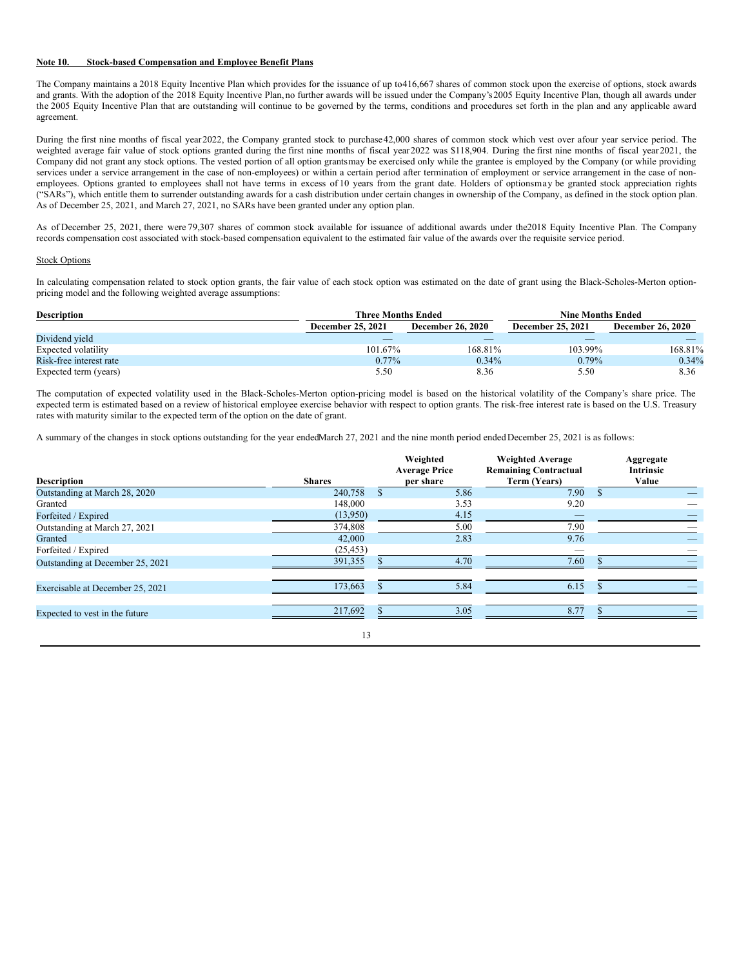#### **Note 10. Stock-based Compensation and Employee Benefit Plans**

The Company maintains a 2018 Equity Incentive Plan which provides for the issuance of up to416,667 shares of common stock upon the exercise of options, stock awards and grants. With the adoption of the 2018 Equity Incentive Plan, no further awards will be issued under the Company's2005 Equity Incentive Plan, though all awards under the 2005 Equity Incentive Plan that are outstanding will continue to be governed by the terms, conditions and procedures set forth in the plan and any applicable award agreement.

During the first nine months of fiscal year2022, the Company granted stock to purchase42,000 shares of common stock which vest over afour year service period. The weighted average fair value of stock options granted during the first nine months of fiscal year 2022 was \$118,904. During the first nine months of fiscal year 2021, the Company did not grant any stock options. The vested portion of all option grantsmay be exercised only while the grantee is employed by the Company (or while providing services under a service arrangement in the case of non-employees) or within a certain period after termination of employment or service arrangement in the case of nonemployees. Options granted to employees shall not have terms in excess of 10 years from the grant date. Holders of optionsmay be granted stock appreciation rights ("SARs"), which entitle them to surrender outstanding awards for a cash distribution under certain changes in ownership of the Company, as defined in the stock option plan. As of December 25, 2021, and March 27, 2021, no SARs have been granted under any option plan.

As of December 25, 2021, there were 79,307 shares of common stock available for issuance of additional awards under the2018 Equity Incentive Plan. The Company records compensation cost associated with stock-based compensation equivalent to the estimated fair value of the awards over the requisite service period.

### Stock Options

In calculating compensation related to stock option grants, the fair value of each stock option was estimated on the date of grant using the Black-Scholes-Merton optionpricing model and the following weighted average assumptions:

| <b>Description</b>      | <b>Three Months Ended</b> |                          | <b>Nine Months Ended</b> |                          |
|-------------------------|---------------------------|--------------------------|--------------------------|--------------------------|
|                         | December 25, 2021         | <b>December 26, 2020</b> | <b>December 25, 2021</b> | <b>December 26, 2020</b> |
| Dividend yield          |                           |                          |                          |                          |
| Expected volatility     | 101.67%                   | 168.81%                  | 103.99%                  | 168.81%                  |
| Risk-free interest rate | $0.77\%$                  | 0.34%                    | 0.79%                    | 0.34%                    |
| Expected term (years)   | 5.50                      | 8.36                     | 5.50                     | 8.36                     |

The computation of expected volatility used in the Black-Scholes-Merton option-pricing model is based on the historical volatility of the Company's share price. The expected term is estimated based on a review of historical employee exercise behavior with respect to option grants. The risk-free interest rate is based on the U.S. Treasury rates with maturity similar to the expected term of the option on the date of grant.

A summary of the changes in stock options outstanding for the year endedMarch 27, 2021 and the nine month period endedDecember 25, 2021 is as follows:

| <b>Description</b>               | <b>Shares</b> | Weighted<br><b>Average Price</b><br>per share | <b>Weighted Average</b><br><b>Remaining Contractual</b><br>Term (Years) |     | Aggregate<br><b>Intrinsic</b><br>Value |
|----------------------------------|---------------|-----------------------------------------------|-------------------------------------------------------------------------|-----|----------------------------------------|
| Outstanding at March 28, 2020    | 240,758       | 5.86                                          | 7.90                                                                    | \$. |                                        |
| Granted                          | 148,000       | 3.53                                          | 9.20                                                                    |     |                                        |
| Forfeited / Expired              | (13,950)      | 4.15                                          |                                                                         |     |                                        |
| Outstanding at March 27, 2021    | 374,808       | 5.00                                          | 7.90                                                                    |     |                                        |
| Granted                          | 42,000        | 2.83                                          | 9.76                                                                    |     |                                        |
| Forfeited / Expired              | (25, 453)     |                                               |                                                                         |     |                                        |
| Outstanding at December 25, 2021 | 391,355       | 4.70                                          | 7.60                                                                    |     |                                        |
| Exercisable at December 25, 2021 | 173,663       | 5.84                                          | 6.15                                                                    |     |                                        |
| Expected to vest in the future   | 217,692       | 3.05                                          | 8.77                                                                    |     |                                        |
|                                  | 13            |                                               |                                                                         |     |                                        |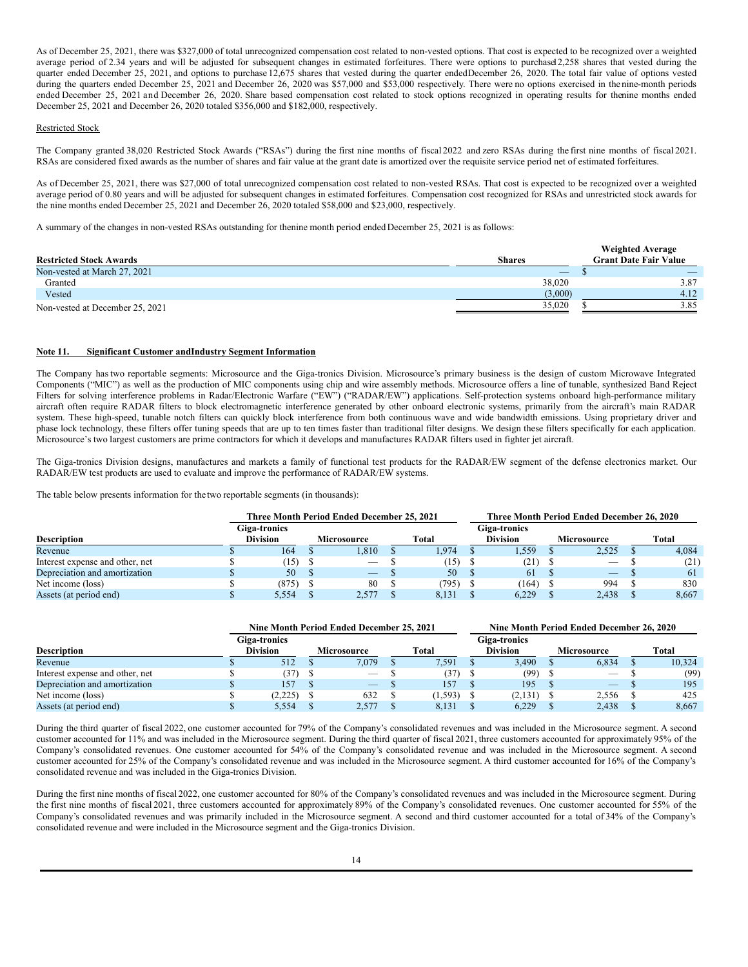As of December 25, 2021, there was \$327,000 of total unrecognized compensation cost related to non-vested options. That cost is expected to be recognized over a weighted average period of 2.34 years and will be adjusted for subsequent changes in estimated forfeitures. There were options to purchase12,258 shares that vested during the quarter ended December 25, 2021, and options to purchase 12,675 shares that vested during the quarter endedDecember 26, 2020. The total fair value of options vested during the quarters ended December 25, 2021 and December 26, 2020 was \$57,000 and \$53,000 respectively. There were no options exercised in the nine-month periods ended December 25, 2021 and December 26, 2020. Share based compensation cost related to stock options recognized in operating results for thenine months ended December 25, 2021 and December 26, 2020 totaled \$356,000 and \$182,000, respectively.

## Restricted Stock

The Company granted 38,020 Restricted Stock Awards ("RSAs") during the first nine months of fiscal 2022 and zero RSAs during the first nine months of fiscal 2021. RSAs are considered fixed awards as the number of shares and fair value at the grant date is amortized over the requisite service period net of estimated forfeitures.

As of December 25, 2021, there was \$27,000 of total unrecognized compensation cost related to non-vested RSAs. That cost is expected to be recognized over a weighted average period of 0.80 years and will be adjusted for subsequent changes in estimated forfeitures. Compensation cost recognized for RSAs and unrestricted stock awards for the nine months ended December 25, 2021 and December 26, 2020 totaled \$58,000 and \$23,000, respectively.

A summary of the changes in non-vested RSAs outstanding for thenine month period ended December 25, 2021 is as follows:

|                                 |                                 | <b>Weighted Average</b>      |
|---------------------------------|---------------------------------|------------------------------|
| <b>Restricted Stock Awards</b>  | <b>Shares</b>                   | <b>Grant Date Fair Value</b> |
| Non-vested at March 27, 2021    | $\hspace{0.1mm}-\hspace{0.1mm}$ | _                            |
| Granted                         | 38,020                          | 3.87                         |
| Vested                          | (3,000)                         | 4.12                         |
| Non-vested at December 25, 2021 | 35,020                          | 3.85                         |

#### **Note 11. Significant Customer andIndustry Segment Information**

The Company hastwo reportable segments: Microsource and the Giga-tronics Division. Microsource's primary business is the design of custom Microwave Integrated Components ("MIC") as well as the production of MIC components using chip and wire assembly methods. Microsource offers a line of tunable, synthesized Band Reject Filters for solving interference problems in Radar/Electronic Warfare ("EW") ("RADAR/EW") applications. Self-protection systems onboard high-performance military aircraft often require RADAR filters to block electromagnetic interference generated by other onboard electronic systems, primarily from the aircraft's main RADAR system. These high-speed, tunable notch filters can quickly block interference from both continuous wave and wide bandwidth emissions. Using proprietary driver and phase lock technology, these filters offer tuning speeds that are up to ten times faster than traditional filter designs. We design these filters specifically for each application. Microsource's two largest customers are prime contractors for which it develops and manufactures RADAR filters used in fighter jet aircraft.

The Giga-tronics Division designs, manufactures and markets a family of functional test products for the RADAR/EW segment of the defense electronics market. Our RADAR/EW test products are used to evaluate and improve the performance of RADAR/EW systems.

The table below presents information for thetwo reportable segments (in thousands):

|                                 |                 | Three Month Period Ended December 25, 2021 |       |                 | Three Month Period Ended December 26, 2020 |       |
|---------------------------------|-----------------|--------------------------------------------|-------|-----------------|--------------------------------------------|-------|
|                                 | Giga-tronics    |                                            |       | Giga-tronics    |                                            |       |
| <b>Description</b>              | <b>Division</b> | <b>Microsource</b>                         | Total | <b>Division</b> | Microsource                                | Total |
| Revenue                         | 164             | 1.810                                      | l.974 | 1.559           | 2.525                                      | 4.084 |
| Interest expense and other, net | $(15)$ \$       |                                            | (15)  | (21)            |                                            | (21)  |
| Depreciation and amortization   | 50              | _                                          | 50    | 61              | $\overline{\phantom{a}}$                   | 61    |
| Net income (loss)               | (875)           | 80                                         | 795)  | (164)           | 994                                        | 830   |
| Assets (at period end)          | 5.554           | 2.577                                      | 8.131 | 6.229           | 2.438                                      | 8.667 |

|                                 |                                        | Nine Month Period Ended December 25, 2021 |          |                                 | Nine Month Period Ended December 26, 2020 |        |
|---------------------------------|----------------------------------------|-------------------------------------------|----------|---------------------------------|-------------------------------------------|--------|
| <b>Description</b>              | <b>Giga-tronics</b><br><b>Division</b> | Microsource                               | Total    | Giga-tronics<br><b>Division</b> | <b>Microsource</b>                        | Total  |
|                                 |                                        |                                           |          |                                 |                                           |        |
| Revenue                         | 512                                    | 7.079                                     | 7.591    | 3.490                           | 6.834                                     | 10.324 |
| Interest expense and other, net | (37)                                   |                                           | (37)     | $(99)$ \$                       | $\overline{\phantom{a}}$                  | (99)   |
| Depreciation and amortization   | 157                                    | $-$                                       | 157      | 195                             | $\overline{\phantom{a}}$                  | 195    |
| Net income (loss)               | (2.225)                                | 632                                       | (1, 593) | $(2,131)$ \$                    | 2.556                                     | 425    |
| Assets (at period end)          | 5.554                                  | 2.577                                     | 8.131    | 6.229                           | 2.438                                     | 8.667  |

During the third quarter of fiscal 2022, one customer accounted for 79% of the Company's consolidated revenues and was included in the Microsource segment. A second customer accounted for 11% and was included in the Microsource segment. During the third quarter of fiscal 2021, three customers accounted for approximately 95% of the Company's consolidated revenues. One customer accounted for 54% of the Company's consolidated revenue and was included in the Microsource segment. A second customer accounted for 25% of the Company's consolidated revenue and was included in the Microsource segment. A third customer accounted for 16% of the Company's consolidated revenue and was included in the Giga-tronics Division.

During the first nine months of fiscal 2022, one customer accounted for 80% of the Company's consolidated revenues and was included in the Microsource segment. During the first nine months of fiscal 2021, three customers accounted for approximately 89% of the Company's consolidated revenues. One customer accounted for 55% of the Company's consolidated revenues and was primarily included in the Microsource segment. A second and third customer accounted for a total of 34% of the Company's consolidated revenue and were included in the Microsource segment and the Giga-tronics Division.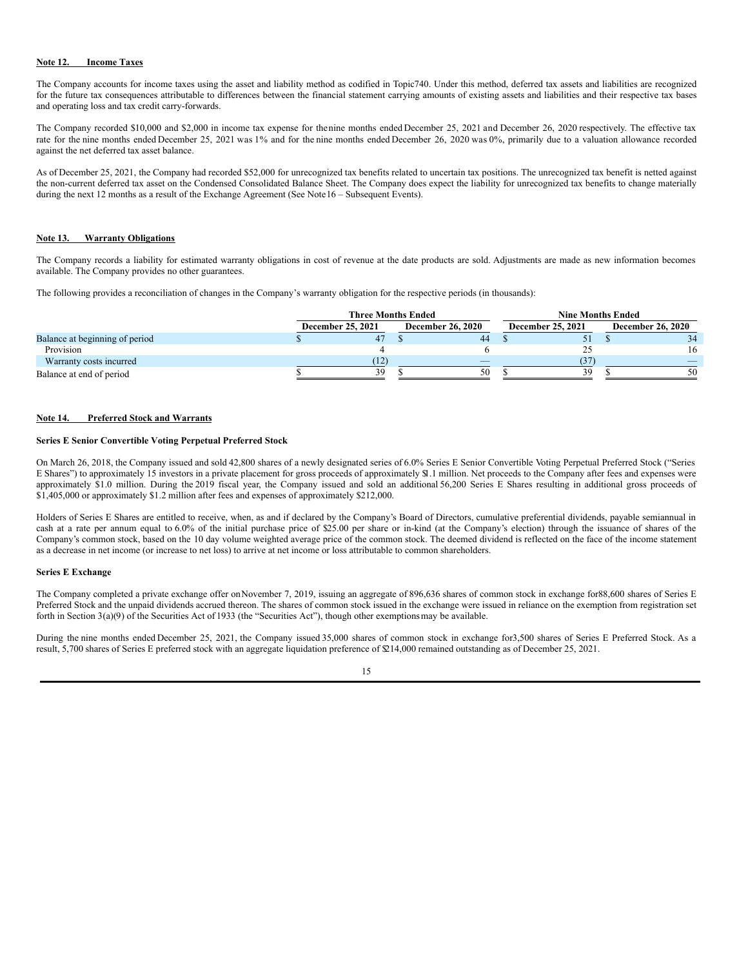## **Note 12. Income Taxes**

The Company accounts for income taxes using the asset and liability method as codified in Topic740. Under this method, deferred tax assets and liabilities are recognized for the future tax consequences attributable to differences between the financial statement carrying amounts of existing assets and liabilities and their respective tax bases and operating loss and tax credit carry-forwards.

The Company recorded \$10,000 and \$2,000 in income tax expense for thenine months ended December 25, 2021 and December 26, 2020 respectively. The effective tax rate for the nine months ended December 25, 2021 was 1% and for the nine months ended December 26, 2020 was 0%, primarily due to a valuation allowance recorded against the net deferred tax asset balance.

As of December 25, 2021, the Company had recorded \$52,000 for unrecognized tax benefits related to uncertain tax positions. The unrecognized tax benefit is netted against the non-current deferred tax asset on the Condensed Consolidated Balance Sheet. The Company does expect the liability for unrecognized tax benefits to change materially during the next 12 months as a result of the Exchange Agreement (See Note16 – Subsequent Events).

### **Note 13. Warranty Obligations**

The Company records a liability for estimated warranty obligations in cost of revenue at the date products are sold. Adjustments are made as new information becomes available. The Company provides no other guarantees.

The following provides a reconciliation of changes in the Company's warranty obligation for the respective periods (in thousands):

|                                |                          | <b>Three Months Ended</b> |  |                          |  |                   | <b>Nine Months Ended</b> |                          |  |  |  |
|--------------------------------|--------------------------|---------------------------|--|--------------------------|--|-------------------|--------------------------|--------------------------|--|--|--|
|                                | <b>December 25, 2021</b> |                           |  | <b>December 26, 2020</b> |  | December 25, 2021 |                          | <b>December 26, 2020</b> |  |  |  |
| Balance at beginning of period |                          | 47                        |  | 44                       |  |                   |                          | 34                       |  |  |  |
| Provision                      |                          |                           |  |                          |  |                   |                          | 16                       |  |  |  |
| Warranty costs incurred        |                          | (12)                      |  | _                        |  | 37                |                          |                          |  |  |  |
| Balance at end of period       |                          | 39                        |  | 50                       |  | 39                |                          | 50                       |  |  |  |

### **Note 14. Preferred Stock and Warrants**

#### **Series E Senior Convertible Voting Perpetual Preferred Stock**

On March 26, 2018, the Company issued and sold 42,800 shares of a newly designated series of 6.0% Series E Senior Convertible Voting Perpetual Preferred Stock ("Series E Shares") to approximately 15 investors in a private placement for gross proceeds of approximately \$1.1 million. Net proceeds to the Company after fees and expenses were approximately \$1.0 million. During the 2019 fiscal year, the Company issued and sold an additional 56,200 Series E Shares resulting in additional gross proceeds of \$1,405,000 or approximately \$1.2 million after fees and expenses of approximately \$212,000.

Holders of Series E Shares are entitled to receive, when, as and if declared by the Company's Board of Directors, cumulative preferential dividends, payable semiannual in cash at a rate per annum equal to 6.0% of the initial purchase price of \$25.00 per share or in-kind (at the Company's election) through the issuance of shares of the Company's common stock, based on the 10 day volume weighted average price of the common stock. The deemed dividend is reflected on the face of the income statement as a decrease in net income (or increase to net loss) to arrive at net income or loss attributable to common shareholders.

#### **Series E Exchange**

The Company completed a private exchange offer onNovember 7, 2019, issuing an aggregate of 896,636 shares of common stock in exchange for88,600 shares of Series E Preferred Stock and the unpaid dividends accrued thereon. The shares of common stock issued in the exchange were issued in reliance on the exemption from registration set forth in Section 3(a)(9) of the Securities Act of 1933 (the "Securities Act"), though other exemptionsmay be available.

During the nine months ended December 25, 2021, the Company issued 35,000 shares of common stock in exchange for3,500 shares of Series E Preferred Stock. As a result, 5,700 shares of Series E preferred stock with an aggregate liquidation preference of \$214,000 remained outstanding as of December 25, 2021.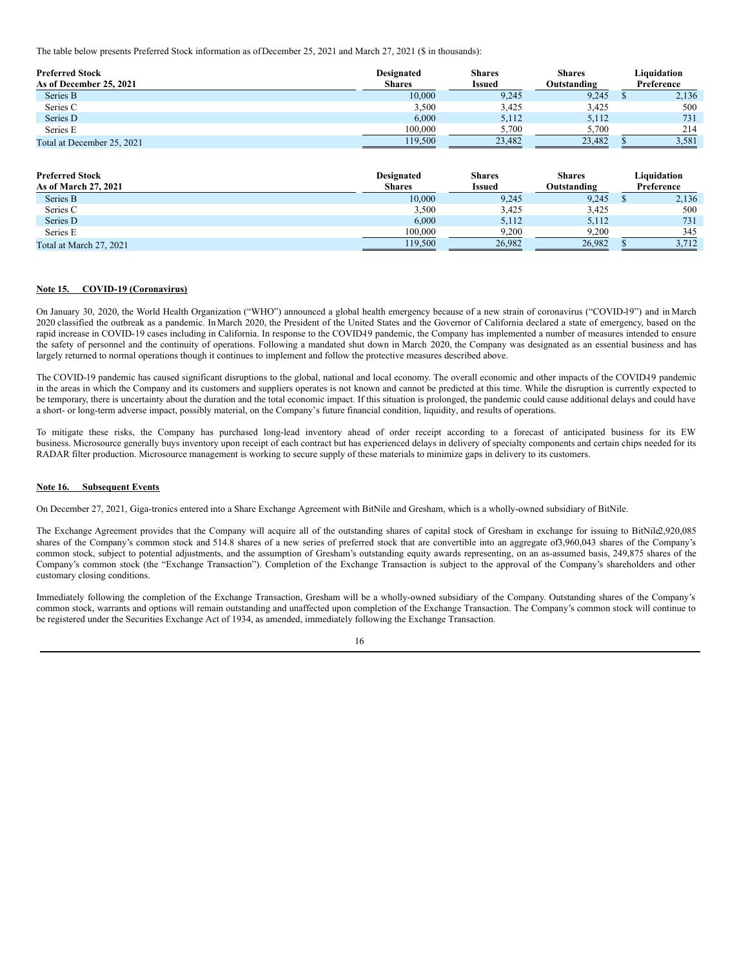The table below presents Preferred Stock information as ofDecember 25, 2021 and March 27, 2021 (\$ in thousands):

| <b>Preferred Stock</b><br>As of December 25, 2021 | <b>Designated</b><br><b>Shares</b> | <b>Shares</b><br><b>Issued</b> | <b>Shares</b><br>Outstanding | Liauidation<br>Preference |
|---------------------------------------------------|------------------------------------|--------------------------------|------------------------------|---------------------------|
| Series B                                          | 10.000                             | 9,245                          | 9,245                        | 2,136                     |
| Series C                                          | 3.500                              | 3.425                          | 3,425                        | 500                       |
| Series D                                          | 6.000                              | 5.112                          | 5,112                        | 731                       |
| Series E                                          | 100,000                            | 5,700                          | 5,700                        | 214                       |
| Total at December 25, 2021                        | 119.500                            | 23.482                         | 23.482                       | 3.581                     |

| <b>Preferred Stock</b><br>As of March 27, 2021 | <b>Designated</b><br><b>Shares</b> | <b>Shares</b><br><b>Issued</b> | <b>Shares</b><br>Outstanding | Liauidation<br>Preference |
|------------------------------------------------|------------------------------------|--------------------------------|------------------------------|---------------------------|
| Series B                                       | 10.000                             | 9,245                          | 9,245                        | 2,136                     |
| Series C                                       | 3,500                              | 3,425                          | 3,425                        | 500                       |
| Series D                                       | 6.000                              | 5.112                          | 5.112                        | 731                       |
| Series E                                       | 100,000                            | 9,200                          | 9,200                        | 345                       |
| Total at March 27, 2021                        | 119.500                            | 26.982                         | 26.982                       | 3.712                     |

## **Note 15. COVID-19 (Coronavirus)**

On January 30, 2020, the World Health Organization ("WHO") announced a global health emergency because of a new strain of coronavirus ("COVID-19") and in March 2020 classified the outbreak as a pandemic. In March 2020, the President of the United States and the Governor of California declared a state of emergency, based on the rapid increase in COVID-19 cases including in California. In response to the COVID-19 pandemic, the Company has implemented a number of measures intended to ensure the safety of personnel and the continuity of operations. Following a mandated shut down in March 2020, the Company was designated as an essential business and has largely returned to normal operations though it continues to implement and follow the protective measures described above.

The COVID-19 pandemic has caused significant disruptions to the global, national and local economy. The overall economic and other impacts of the COVID-19 pandemic in the areas in which the Company and its customers and suppliers operates is not known and cannot be predicted at this time. While the disruption is currently expected to be temporary, there is uncertainty about the duration and the total economic impact. If this situation is prolonged, the pandemic could cause additional delays and could have a short- or long-term adverse impact, possibly material, on the Company's future financial condition, liquidity, and results of operations.

To mitigate these risks, the Company has purchased long-lead inventory ahead of order receipt according to a forecast of anticipated business for its EW business. Microsource generally buys inventory upon receipt of each contract but has experienced delays in delivery of specialty components and certain chips needed for its RADAR filter production. Microsource management is working to secure supply of these materials to minimize gaps in delivery to its customers.

#### **Note 16. Subsequent Events**

On December 27, 2021, Giga-tronics entered into a Share Exchange Agreement with BitNile and Gresham, which is a wholly-owned subsidiary of BitNile.

The Exchange Agreement provides that the Company will acquire all of the outstanding shares of capital stock of Gresham in exchange for issuing to BitNile2,920,085 shares of the Company's common stock and 514.8 shares of a new series of preferred stock that are convertible into an aggregate of3,960,043 shares of the Company's common stock, subject to potential adjustments, and the assumption of Gresham's outstanding equity awards representing, on an as-assumed basis, 249,875 shares of the Company's common stock (the "Exchange Transaction"). Completion of the Exchange Transaction is subject to the approval of the Company's shareholders and other customary closing conditions.

Immediately following the completion of the Exchange Transaction, Gresham will be a wholly-owned subsidiary of the Company. Outstanding shares of the Company's common stock, warrants and options will remain outstanding and unaffected upon completion of the Exchange Transaction. The Company's common stock will continue to be registered under the Securities Exchange Act of 1934, as amended, immediately following the Exchange Transaction.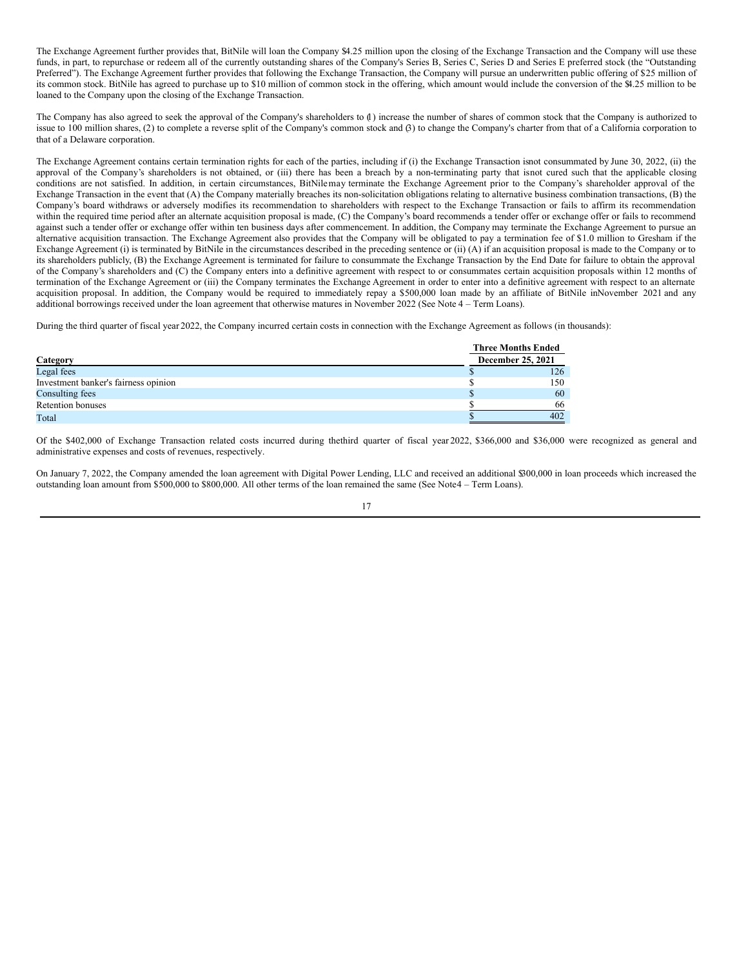The Exchange Agreement further provides that, BitNile will loan the Company \$4.25 million upon the closing of the Exchange Transaction and the Company will use these funds, in part, to repurchase or redeem all of the currently outstanding shares of the Company's Series B, Series C, Series D and Series E preferred stock (the "Outstanding Preferred"). The Exchange Agreement further provides that following the Exchange Transaction, the Company will pursue an underwritten public offering of \$25 million of its common stock. BitNile has agreed to purchase up to \$10 million of common stock in the offering, which amount would include the conversion of the \$4.25 million to be loaned to the Company upon the closing of the Exchange Transaction.

The Company has also agreed to seek the approval of the Company's shareholders to (1) increase the number of shares of common stock that the Company is authorized to issue to 100 million shares, (2) to complete a reverse split of the Company's common stock and (3) to change the Company's charter from that of a California corporation to that of a Delaware corporation.

The Exchange Agreement contains certain termination rights for each of the parties, including if (i) the Exchange Transaction isnot consummated by June 30, 2022, (ii) the approval of the Company's shareholders is not obtained, or (iii) there has been a breach by a non-terminating party that isnot cured such that the applicable closing conditions are not satisfied. In addition, in certain circumstances, BitNilemay terminate the Exchange Agreement prior to the Company's shareholder approval of the Exchange Transaction in the event that (A) the Company materially breaches its non-solicitation obligations relating to alternative business combination transactions, (B) the Company's board withdraws or adversely modifies its recommendation to shareholders with respect to the Exchange Transaction or fails to affirm its recommendation within the required time period after an alternate acquisition proposal is made, (C) the Company's board recommends a tender offer or exchange offer or fails to recommend against such a tender offer or exchange offer within ten business days after commencement. In addition, the Company may terminate the Exchange Agreement to pursue an alternative acquisition transaction. The Exchange Agreement also provides that the Company will be obligated to pay a termination fee of \$1.0 million to Gresham if the Exchange Agreement (i) is terminated by BitNile in the circumstances described in the preceding sentence or (ii) (A) if an acquisition proposal is made to the Company or to its shareholders publicly, (B) the Exchange Agreement is terminated for failure to consummate the Exchange Transaction by the End Date for failure to obtain the approval of the Company's shareholders and (C) the Company enters into a definitive agreement with respect to or consummates certain acquisition proposals within 12 months of termination of the Exchange Agreement or (iii) the Company terminates the Exchange Agreement in order to enter into a definitive agreement with respect to an alternate acquisition proposal. In addition, the Company would be required to immediately repay a \$500,000 loan made by an affiliate of BitNile inNovember 2021 and any additional borrowings received under the loan agreement that otherwise matures in November 2022 (See Note 4 – Term Loans).

During the third quarter of fiscal year 2022, the Company incurred certain costs in connection with the Exchange Agreement as follows (in thousands):

|                                      | <b>Three Months Ended</b> |  |  |  |  |
|--------------------------------------|---------------------------|--|--|--|--|
| Category                             | December 25, 2021         |  |  |  |  |
| Legal fees                           | 126                       |  |  |  |  |
| Investment banker's fairness opinion | 150                       |  |  |  |  |
| Consulting fees                      | 60                        |  |  |  |  |
| <b>Retention bonuses</b>             | 66                        |  |  |  |  |
| Total                                | 402                       |  |  |  |  |

Of the \$402,000 of Exchange Transaction related costs incurred during thethird quarter of fiscal year 2022, \$366,000 and \$36,000 were recognized as general and administrative expenses and costs of revenues, respectively.

On January 7, 2022, the Company amended the loan agreement with Digital Power Lending, LLC and received an additional \$300,000 in loan proceeds which increased the outstanding loan amount from \$500,000 to \$800,000. All other terms of the loan remained the same (See Note4 – Term Loans).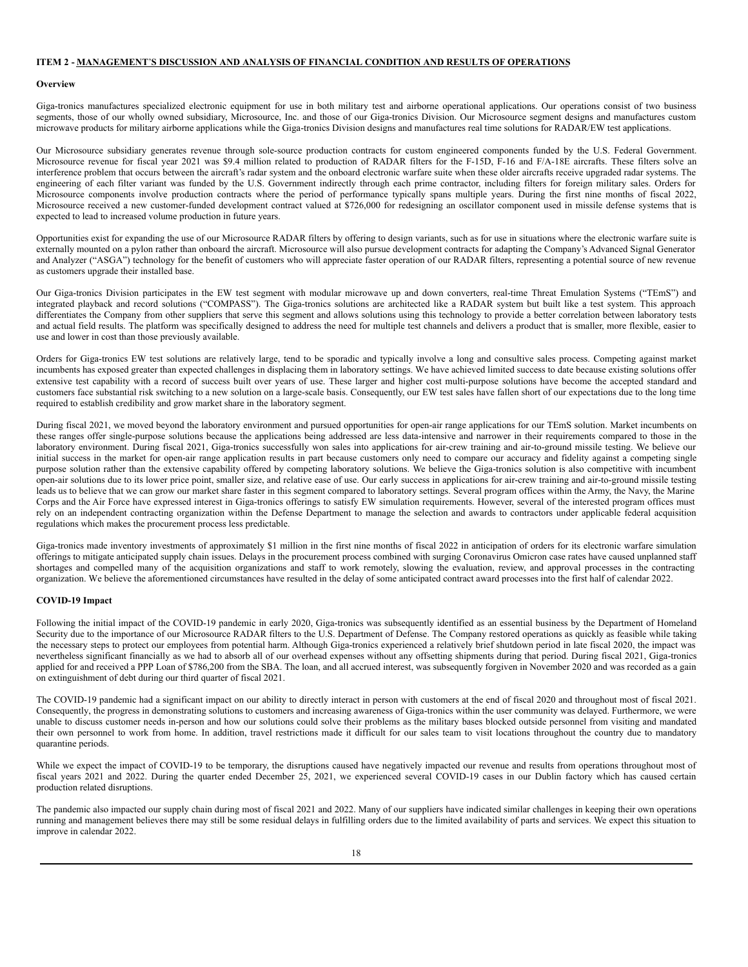## **ITEM 2 - MANAGEMENT**'**S DISCUSSION AND ANALYSIS OF FINANCIAL CONDITION AND RESULTS OF OPERATIONS**

#### **Overview**

Giga-tronics manufactures specialized electronic equipment for use in both military test and airborne operational applications. Our operations consist of two business segments, those of our wholly owned subsidiary, Microsource, Inc. and those of our Giga-tronics Division. Our Microsource segment designs and manufactures custom microwave products for military airborne applications while the Giga-tronics Division designs and manufactures real time solutions for RADAR/EW test applications.

Our Microsource subsidiary generates revenue through sole-source production contracts for custom engineered components funded by the U.S. Federal Government. Microsource revenue for fiscal year 2021 was \$9.4 million related to production of RADAR filters for the F-15D, F-16 and F/A-18E aircrafts. These filters solve an interference problem that occurs between the aircraft's radar system and the onboard electronic warfare suite when these older aircrafts receive upgraded radar systems. The engineering of each filter variant was funded by the U.S. Government indirectly through each prime contractor, including filters for foreign military sales. Orders for Microsource components involve production contracts where the period of performance typically spans multiple years. During the first nine months of fiscal 2022, Microsource received a new customer-funded development contract valued at \$726,000 for redesigning an oscillator component used in missile defense systems that is expected to lead to increased volume production in future years.

Opportunities exist for expanding the use of our Microsource RADAR filters by offering to design variants, such as for use in situations where the electronic warfare suite is externally mounted on a pylon rather than onboard the aircraft. Microsource will also pursue development contracts for adapting the Company's Advanced Signal Generator and Analyzer ("ASGA") technology for the benefit of customers who will appreciate faster operation of our RADAR filters, representing a potential source of new revenue as customers upgrade their installed base.

Our Giga-tronics Division participates in the EW test segment with modular microwave up and down converters, real-time Threat Emulation Systems ("TEmS") and integrated playback and record solutions ("COMPASS"). The Giga-tronics solutions are architected like a RADAR system but built like a test system. This approach differentiates the Company from other suppliers that serve this segment and allows solutions using this technology to provide a better correlation between laboratory tests and actual field results. The platform was specifically designed to address the need for multiple test channels and delivers a product that is smaller, more flexible, easier to use and lower in cost than those previously available.

Orders for Giga-tronics EW test solutions are relatively large, tend to be sporadic and typically involve a long and consultive sales process. Competing against market incumbents has exposed greater than expected challenges in displacing them in laboratory settings. We have achieved limited success to date because existing solutions offer extensive test capability with a record of success built over years of use. These larger and higher cost multi-purpose solutions have become the accepted standard and customers face substantial risk switching to a new solution on a large-scale basis. Consequently, our EW test sales have fallen short of our expectations due to the long time required to establish credibility and grow market share in the laboratory segment.

During fiscal 2021, we moved beyond the laboratory environment and pursued opportunities for open-air range applications for our TEmS solution. Market incumbents on these ranges offer single-purpose solutions because the applications being addressed are less data-intensive and narrower in their requirements compared to those in the laboratory environment. During fiscal 2021, Giga-tronics successfully won sales into applications for air-crew training and air-to-ground missile testing. We believe our initial success in the market for open-air range application results in part because customers only need to compare our accuracy and fidelity against a competing single purpose solution rather than the extensive capability offered by competing laboratory solutions. We believe the Giga-tronics solution is also competitive with incumbent open-air solutions due to its lower price point, smaller size, and relative ease of use. Our early success in applications for air-crew training and air-to-ground missile testing leads us to believe that we can grow our market share faster in this segment compared to laboratory settings. Several program offices within the Army, the Navy, the Marine Corps and the Air Force have expressed interest in Giga-tronics offerings to satisfy EW simulation requirements. However, several of the interested program offices must rely on an independent contracting organization within the Defense Department to manage the selection and awards to contractors under applicable federal acquisition regulations which makes the procurement process less predictable.

Giga-tronics made inventory investments of approximately \$1 million in the first nine months of fiscal 2022 in anticipation of orders for its electronic warfare simulation offerings to mitigate anticipated supply chain issues. Delays in the procurement process combined with surging Coronavirus Omicron case rates have caused unplanned staff shortages and compelled many of the acquisition organizations and staff to work remotely, slowing the evaluation, review, and approval processes in the contracting organization. We believe the aforementioned circumstances have resulted in the delay of some anticipated contract award processes into the first half of calendar 2022.

#### **COVID-19 Impact**

Following the initial impact of the COVID-19 pandemic in early 2020, Giga-tronics was subsequently identified as an essential business by the Department of Homeland Security due to the importance of our Microsource RADAR filters to the U.S. Department of Defense. The Company restored operations as quickly as feasible while taking the necessary steps to protect our employees from potential harm. Although Giga-tronics experienced a relatively brief shutdown period in late fiscal 2020, the impact was nevertheless significant financially as we had to absorb all of our overhead expenses without any offsetting shipments during that period. During fiscal 2021, Giga-tronics applied for and received a PPP Loan of \$786,200 from the SBA. The loan, and all accrued interest, was subsequently forgiven in November 2020 and was recorded as a gain on extinguishment of debt during our third quarter of fiscal 2021.

The COVID-19 pandemic had a significant impact on our ability to directly interact in person with customers at the end of fiscal 2020 and throughout most of fiscal 2021. Consequently, the progress in demonstrating solutions to customers and increasing awareness of Giga-tronics within the user community was delayed. Furthermore, we were unable to discuss customer needs in-person and how our solutions could solve their problems as the military bases blocked outside personnel from visiting and mandated their own personnel to work from home. In addition, travel restrictions made it difficult for our sales team to visit locations throughout the country due to mandatory quarantine periods.

While we expect the impact of COVID-19 to be temporary, the disruptions caused have negatively impacted our revenue and results from operations throughout most of fiscal years 2021 and 2022. During the quarter ended December 25, 2021, we experienced several COVID-19 cases in our Dublin factory which has caused certain production related disruptions.

The pandemic also impacted our supply chain during most of fiscal 2021 and 2022. Many of our suppliers have indicated similar challenges in keeping their own operations running and management believes there may still be some residual delays in fulfilling orders due to the limited availability of parts and services. We expect this situation to improve in calendar 2022.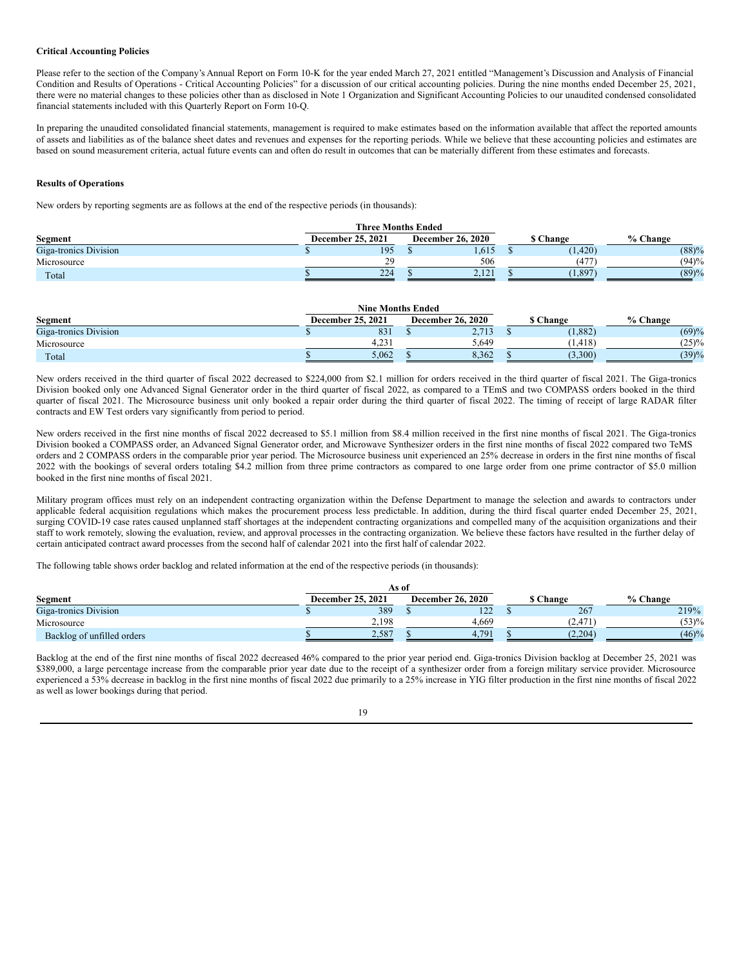### **Critical Accounting Policies**

Please refer to the section of the Company's Annual Report on Form 10-K for the year ended March 27, 2021 entitled "Management's Discussion and Analysis of Financial Condition and Results of Operations - Critical Accounting Policies" for a discussion of our critical accounting policies. During the nine months ended December 25, 2021, there were no material changes to these policies other than as disclosed in Note 1 Organization and Significant Accounting Policies to our unaudited condensed consolidated financial statements included with this Quarterly Report on Form 10-Q.

In preparing the unaudited consolidated financial statements, management is required to make estimates based on the information available that affect the reported amounts of assets and liabilities as of the balance sheet dates and revenues and expenses for the reporting periods. While we believe that these accounting policies and estimates are based on sound measurement criteria, actual future events can and often do result in outcomes that can be materially different from these estimates and forecasts.

### **Results of Operations**

New orders by reporting segments are as follows at the end of the respective periods (in thousands):

| <b>Three Months Ended</b> |                   |                          |  |                 |            |  |  |  |  |
|---------------------------|-------------------|--------------------------|--|-----------------|------------|--|--|--|--|
| Segment                   | December 25, 2021 | <b>December 26, 2020</b> |  | <b>S</b> Change | $%$ Change |  |  |  |  |
| Giga-tronics Division     | 195               | 1.615                    |  | (1, 420)        | (88)%      |  |  |  |  |
| Microsource               | 20                | 506                      |  | 147             | (94)%      |  |  |  |  |
| Total                     | 224               | 2.121                    |  | (1, 897)        | (89)%      |  |  |  |  |

|                       | <b>Nine Months Ended</b> |                          |                 |          |
|-----------------------|--------------------------|--------------------------|-----------------|----------|
| Segment               | <b>December 25, 2021</b> | <b>December 26, 2020</b> | <b>S</b> Change | % Change |
| Giga-tronics Division | 831                      | 2,713                    | (1,882)         | (69)%    |
| Microsource           | 4.231                    | 5.649                    | (1.418)         | (25)%    |
| Total                 | 5.062                    | 8.362                    | (3.300)         | (39)%    |

New orders received in the third quarter of fiscal 2022 decreased to \$224,000 from \$2.1 million for orders received in the third quarter of fiscal 2021. The Giga-tronics Division booked only one Advanced Signal Generator order in the third quarter of fiscal 2022, as compared to a TEmS and two COMPASS orders booked in the third quarter of fiscal 2021. The Microsource business unit only booked a repair order during the third quarter of fiscal 2022. The timing of receipt of large RADAR filter contracts and EW Test orders vary significantly from period to period.

New orders received in the first nine months of fiscal 2022 decreased to \$5.1 million from \$8.4 million received in the first nine months of fiscal 2021. The Giga-tronics Division booked a COMPASS order, an Advanced Signal Generator order, and Microwave Synthesizer orders in the first nine months of fiscal 2022 compared two TeMS orders and 2 COMPASS orders in the comparable prior year period. The Microsource business unit experienced an 25% decrease in orders in the first nine months of fiscal 2022 with the bookings of several orders totaling \$4.2 million from three prime contractors as compared to one large order from one prime contractor of \$5.0 million booked in the first nine months of fiscal 2021.

Military program offices must rely on an independent contracting organization within the Defense Department to manage the selection and awards to contractors under applicable federal acquisition regulations which makes the procurement process less predictable. In addition, during the third fiscal quarter ended December 25, 2021, surging COVID-19 case rates caused unplanned staff shortages at the independent contracting organizations and compelled many of the acquisition organizations and their staff to work remotely, slowing the evaluation, review, and approval processes in the contracting organization. We believe these factors have resulted in the further delay of certain anticipated contract award processes from the second half of calendar 2021 into the first half of calendar 2022.

The following table shows order backlog and related information at the end of the respective periods (in thousands):

|                            | As of                    |                          |                 |          |
|----------------------------|--------------------------|--------------------------|-----------------|----------|
| Segment                    | <b>December 25, 2021</b> | <b>December 26, 2020</b> | <b>S</b> Change | % Change |
| Giga-tronics Division      | 389                      | 122                      | 267             | 219%     |
| Microsource                | 2.198                    | 4,669                    | , 2.47'         | (53)%    |
| Backlog of unfilled orders | 2,587                    | 4.791                    | (2,204)         | (46)%    |

Backlog at the end of the first nine months of fiscal 2022 decreased 46% compared to the prior year period end. Giga-tronics Division backlog at December 25, 2021 was \$389,000, a large percentage increase from the comparable prior year date due to the receipt of a synthesizer order from a foreign military service provider. Microsource experienced a 53% decrease in backlog in the first nine months of fiscal 2022 due primarily to a 25% increase in YIG filter production in the first nine months of fiscal 2022 as well as lower bookings during that period.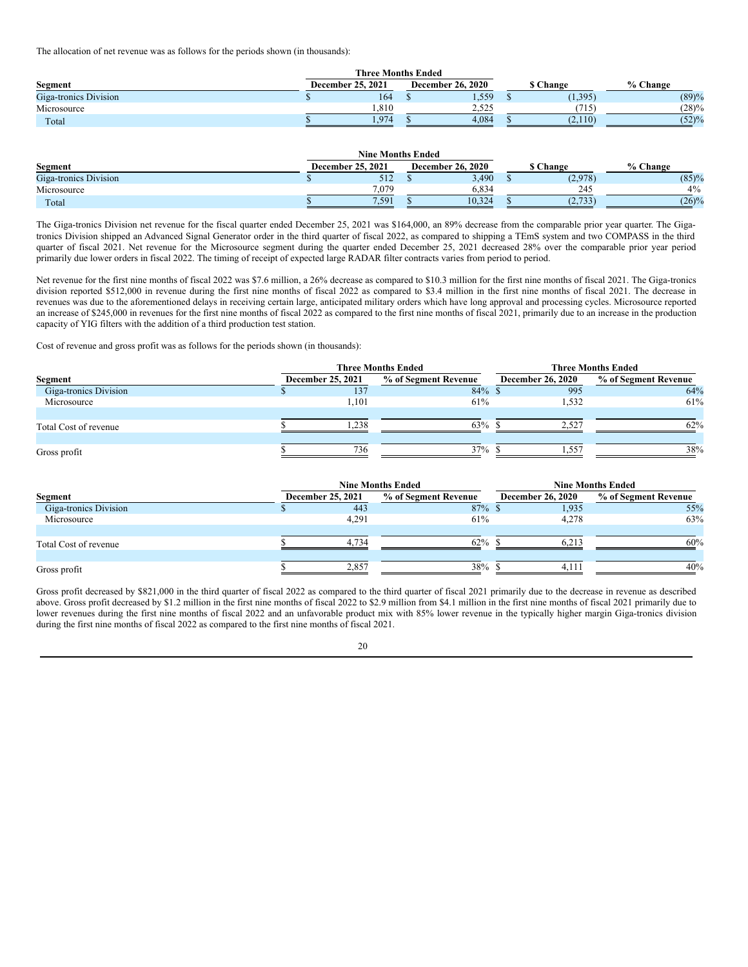The allocation of net revenue was as follows for the periods shown (in thousands):

| <b>Segment</b>        | December 25, 2021 | <b>December 26, 2020</b> | <b>S</b> Change | % Change |
|-----------------------|-------------------|--------------------------|-----------------|----------|
| Giga-tronics Division | 164               | 1,559                    | (1, 395)        | (89)%    |
| Microsource           | 1.810             | 2.525                    |                 | (28)%    |
| Total                 | 1.974             | 4.084                    | (2.110)         | (52)%    |

|                       | <b>Nine Months Ended</b> |                          |                 |          |
|-----------------------|--------------------------|--------------------------|-----------------|----------|
| Segment               | December 25, 2021        | <b>December 26, 2020</b> | <b>S</b> Change | % Change |
| Giga-tronics Division | 512                      | 3,490                    | (2,978)         | (85)%    |
| Microsource           | 7.079                    | 6.834                    | 245             | $4\%$    |
| Total                 | 7.591                    | 10.324                   | (2,733)         | (26)%    |

The Giga-tronics Division net revenue for the fiscal quarter ended December 25, 2021 was \$164,000, an 89% decrease from the comparable prior year quarter. The Gigatronics Division shipped an Advanced Signal Generator order in the third quarter of fiscal 2022, as compared to shipping a TEmS system and two COMPASS in the third quarter of fiscal 2021. Net revenue for the Microsource segment during the quarter ended December 25, 2021 decreased 28% over the comparable prior year period primarily due lower orders in fiscal 2022. The timing of receipt of expected large RADAR filter contracts varies from period to period.

Net revenue for the first nine months of fiscal 2022 was \$7.6 million, a 26% decrease as compared to \$10.3 million for the first nine months of fiscal 2021. The Giga-tronics division reported \$512,000 in revenue during the first nine months of fiscal 2022 as compared to \$3.4 million in the first nine months of fiscal 2021. The decrease in revenues was due to the aforementioned delays in receiving certain large, anticipated military orders which have long approval and processing cycles. Microsource reported an increase of \$245,000 in revenues for the first nine months of fiscal 2022 as compared to the first nine months of fiscal 2021, primarily due to an increase in the production capacity of YIG filters with the addition of a third production test station.

Cost of revenue and gross profit was as follows for the periods shown (in thousands):

|                       |                   | <b>Three Months Ended</b> | <b>Three Months Ended</b> |                      |  |  |
|-----------------------|-------------------|---------------------------|---------------------------|----------------------|--|--|
| Segment               | December 25, 2021 | % of Segment Revenue      | <b>December 26, 2020</b>  | % of Segment Revenue |  |  |
| Giga-tronics Division | 137               | $84\%$ \$                 | 995                       | 64%                  |  |  |
| Microsource           | 1,101             | 61%                       | 1,532                     | 61%                  |  |  |
| Total Cost of revenue | .238              | $63\%$ \$                 | 2.527                     | 62%                  |  |  |
| Gross profit          | 736               | 37%                       | 1.557                     | 38%                  |  |  |

|                       |                   |       | <b>Nine Months Ended</b> | <b>Nine Months Ended</b> |                      |  |  |
|-----------------------|-------------------|-------|--------------------------|--------------------------|----------------------|--|--|
| Segment               | December 25, 2021 |       | % of Segment Revenue     | <b>December 26, 2020</b> | % of Segment Revenue |  |  |
| Giga-tronics Division |                   | 443   | $87\%$ \$                | 1,935                    | 55%                  |  |  |
| Microsource           |                   | 4,291 | 61%                      | 4,278                    | 63%                  |  |  |
| Total Cost of revenue |                   | 4.734 | 62%                      | 6.213                    | 60%                  |  |  |
| Gross profit          |                   | 2.857 | 38%                      | 4.111                    | 40%                  |  |  |

Gross profit decreased by \$821,000 in the third quarter of fiscal 2022 as compared to the third quarter of fiscal 2021 primarily due to the decrease in revenue as described above. Gross profit decreased by \$1.2 million in the first nine months of fiscal 2022 to \$2.9 million from \$4.1 million in the first nine months of fiscal 2021 primarily due to lower revenues during the first nine months of fiscal 2022 and an unfavorable product mix with 85% lower revenue in the typically higher margin Giga-tronics division during the first nine months of fiscal 2022 as compared to the first nine months of fiscal 2021.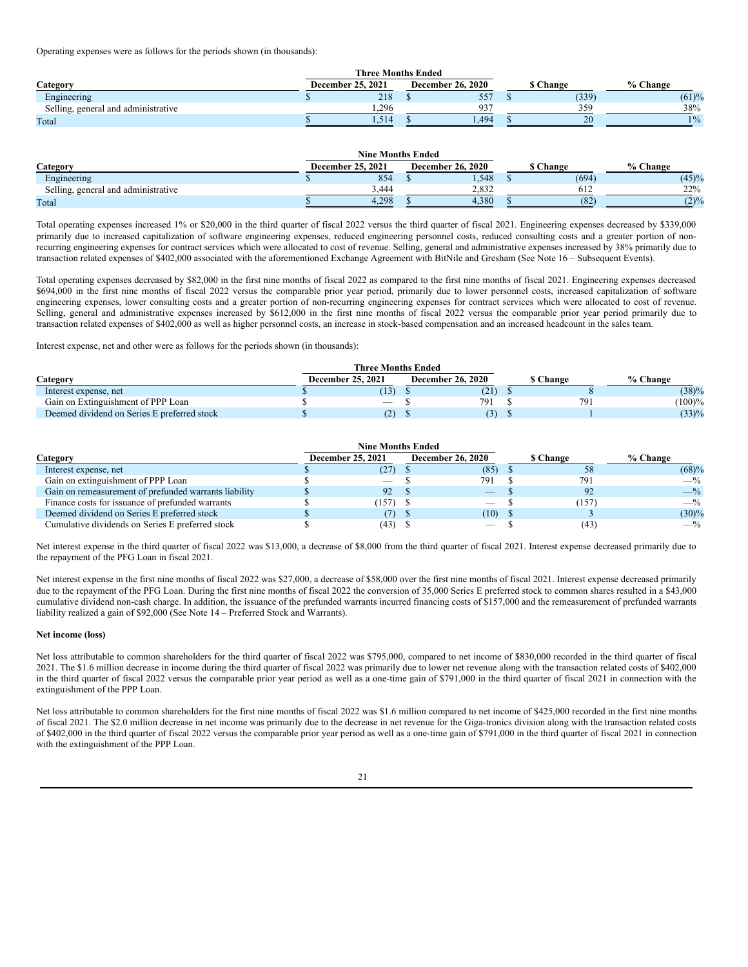Operating expenses were as follows for the periods shown (in thousands):

| Category                            | December 25, 2021 | <b>December 26, 2020</b> | <b>S</b> Change | % Change |
|-------------------------------------|-------------------|--------------------------|-----------------|----------|
| Engineering                         | 218               | 557                      | (339)           | (61)%    |
| Selling, general and administrative | 1.296             | 937                      | 359             | 38%      |
| Total                               | 1,514             | .494                     | 20              | $1\%$    |

|                                     | <b>Nine Months Ended</b> |                          |                 |          |
|-------------------------------------|--------------------------|--------------------------|-----------------|----------|
| Category                            | December 25, 2021        | <b>December 26, 2020</b> | <b>S</b> Change | % Change |
| Engineering                         | 854                      | 1,548                    | (694)           | (45)%    |
| Selling, general and administrative | 3.444                    | 2.832                    | 612             | 22%      |
| Total                               | 4.298                    | 4.380                    | (82)            | (2)%     |

Total operating expenses increased 1% or \$20,000 in the third quarter of fiscal 2022 versus the third quarter of fiscal 2021. Engineering expenses decreased by \$339,000 primarily due to increased capitalization of software engineering expenses, reduced engineering personnel costs, reduced consulting costs and a greater portion of nonrecurring engineering expenses for contract services which were allocated to cost of revenue. Selling, general and administrative expenses increased by 38% primarily due to transaction related expenses of \$402,000 associated with the aforementioned Exchange Agreement with BitNile and Gresham (See Note 16 – Subsequent Events).

Total operating expenses decreased by \$82,000 in the first nine months of fiscal 2022 as compared to the first nine months of fiscal 2021. Engineering expenses decreased \$694,000 in the first nine months of fiscal 2022 versus the comparable prior year period, primarily due to lower personnel costs, increased capitalization of software engineering expenses, lower consulting costs and a greater portion of non-recurring engineering expenses for contract services which were allocated to cost of revenue. Selling, general and administrative expenses increased by \$612,000 in the first nine months of fiscal 2022 versus the comparable prior year period primarily due to transaction related expenses of \$402,000 as well as higher personnel costs, an increase in stock-based compensation and an increased headcount in the sales team.

Interest expense, net and other were as follows for the periods shown (in thousands):

|                                             | <b>Three Months Ended</b> |                          |                 |               |
|---------------------------------------------|---------------------------|--------------------------|-----------------|---------------|
| Category                                    | December 25, 2021         | <b>December 26, 2020</b> | <b>S</b> Change | % Change      |
| Interest expense, net                       | (13)                      | (21)                     |                 | (38)%         |
| Gain on Extinguishment of PPP Loan          | $\hspace{0.05cm}$         | 791                      |                 | (100)%<br>791 |
| Deemed dividend on Series E preferred stock | (2)                       | (3)                      |                 | (33)%         |

|                                                       | <b>Nine Months Ended</b> |                          |           |          |
|-------------------------------------------------------|--------------------------|--------------------------|-----------|----------|
| Category                                              | <b>December 25, 2021</b> | <b>December 26, 2020</b> | \$ Change | % Change |
| Interest expense, net                                 | (27)                     | (85)                     | 58        | (68)%    |
| Gain on extinguishment of PPP Loan                    |                          | 791                      | 791       | $-$ %    |
| Gain on remeasurement of prefunded warrants liability | 92                       |                          | 92        | $-$ %    |
| Finance costs for issuance of prefunded warrants      | (157)                    |                          | (157)     | $-$ %    |
| Deemed dividend on Series E preferred stock           | (7)                      | $(10)$ \$                |           | $(30)\%$ |
| Cumulative dividends on Series E preferred stock      | (43)                     |                          | (43       | $-$ %    |

Net interest expense in the third quarter of fiscal 2022 was \$13,000, a decrease of \$8,000 from the third quarter of fiscal 2021. Interest expense decreased primarily due to the repayment of the PFG Loan in fiscal 2021.

Net interest expense in the first nine months of fiscal 2022 was \$27,000, a decrease of \$58,000 over the first nine months of fiscal 2021. Interest expense decreased primarily due to the repayment of the PFG Loan. During the first nine months of fiscal 2022 the conversion of 35,000 Series E preferred stock to common shares resulted in a \$43,000 cumulative dividend non-cash charge. In addition, the issuance of the prefunded warrants incurred financing costs of \$157,000 and the remeasurement of prefunded warrants liability realized a gain of \$92,000 (See Note 14 – Preferred Stock and Warrants).

#### **Net income (loss)**

Net loss attributable to common shareholders for the third quarter of fiscal 2022 was \$795,000, compared to net income of \$830,000 recorded in the third quarter of fiscal 2021. The \$1.6 million decrease in income during the third quarter of fiscal 2022 was primarily due to lower net revenue along with the transaction related costs of \$402,000 in the third quarter of fiscal 2022 versus the comparable prior year period as well as a one-time gain of \$791,000 in the third quarter of fiscal 2021 in connection with the extinguishment of the PPP Loan.

Net loss attributable to common shareholders for the first nine months of fiscal 2022 was \$1.6 million compared to net income of \$425,000 recorded in the first nine months of fiscal 2021. The \$2.0 million decrease in net income was primarily due to the decrease in net revenue for the Giga-tronics division along with the transaction related costs of \$402,000 in the third quarter of fiscal 2022 versus the comparable prior year period as well as a one-time gain of \$791,000 in the third quarter of fiscal 2021 in connection with the extinguishment of the PPP Loan.

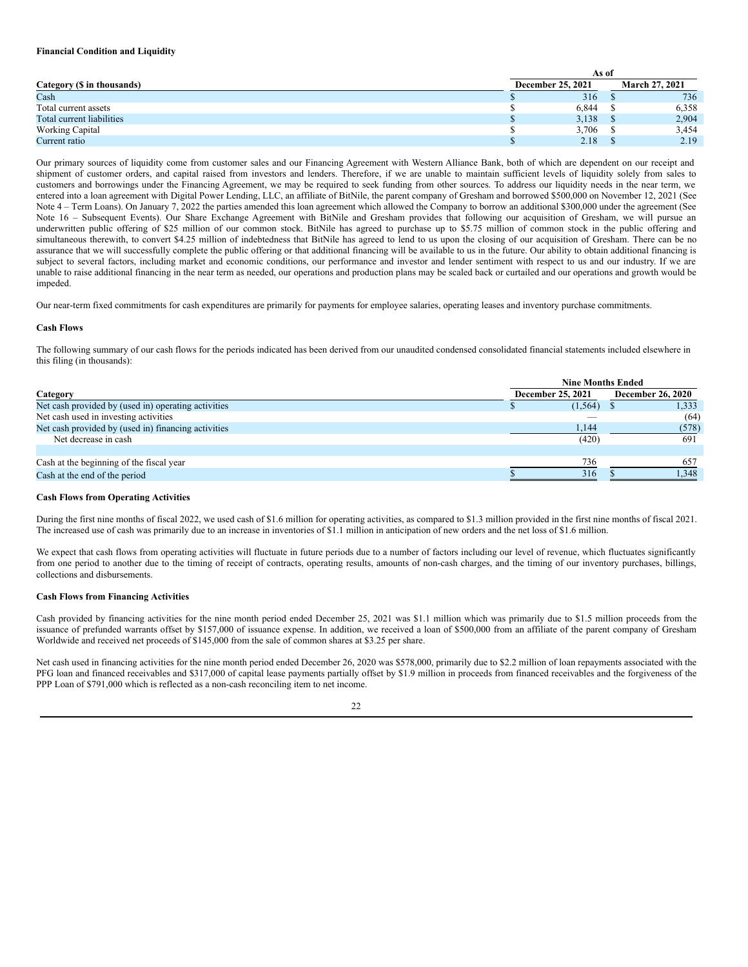### **Financial Condition and Liquidity**

|                            | As of |                   |  |                       |  |  |  |
|----------------------------|-------|-------------------|--|-----------------------|--|--|--|
| Category (\$ in thousands) |       | December 25, 2021 |  | <b>March 27, 2021</b> |  |  |  |
| Cash                       |       | 316               |  | 736                   |  |  |  |
| Total current assets       |       | 6,844             |  | 6,358                 |  |  |  |
| Total current liabilities  |       | 3,138             |  | 2,904                 |  |  |  |
| <b>Working Capital</b>     |       | 3,706             |  | 3.454                 |  |  |  |
| Current ratio              |       | 2.18              |  | 2.19                  |  |  |  |

Our primary sources of liquidity come from customer sales and our Financing Agreement with Western Alliance Bank, both of which are dependent on our receipt and shipment of customer orders, and capital raised from investors and lenders. Therefore, if we are unable to maintain sufficient levels of liquidity solely from sales to customers and borrowings under the Financing Agreement, we may be required to seek funding from other sources. To address our liquidity needs in the near term, we entered into a loan agreement with Digital Power Lending, LLC, an affiliate of BitNile, the parent company of Gresham and borrowed \$500,000 on November 12, 2021 (See Note 4 – Term Loans). On January 7, 2022 the parties amended this loan agreement which allowed the Company to borrow an additional \$300,000 under the agreement (See Note 16 – Subsequent Events). Our Share Exchange Agreement with BitNile and Gresham provides that following our acquisition of Gresham, we will pursue an underwritten public offering of \$25 million of our common stock. BitNile has agreed to purchase up to \$5.75 million of common stock in the public offering and simultaneous therewith, to convert \$4.25 million of indebtedness that BitNile has agreed to lend to us upon the closing of our acquisition of Gresham. There can be no assurance that we will successfully complete the public offering or that additional financing will be available to us in the future. Our ability to obtain additional financing is subject to several factors, including market and economic conditions, our performance and investor and lender sentiment with respect to us and our industry. If we are unable to raise additional financing in the near term as needed, our operations and production plans may be scaled back or curtailed and our operations and growth would be impeded.

Our near-term fixed commitments for cash expenditures are primarily for payments for employee salaries, operating leases and inventory purchase commitments.

#### **Cash Flows**

The following summary of our cash flows for the periods indicated has been derived from our unaudited condensed consolidated financial statements included elsewhere in this filing (in thousands):

|                                                     | <b>Nine Months Ended</b> |                          |
|-----------------------------------------------------|--------------------------|--------------------------|
| Category                                            | December 25, 2021        | <b>December 26, 2020</b> |
| Net cash provided by (used in) operating activities | $(1,564)$ \$             | 1,333                    |
| Net cash used in investing activities               | _                        | (64)                     |
| Net cash provided by (used in) financing activities | 1,144                    | (578)                    |
| Net decrease in cash                                | (420)                    | 691                      |
|                                                     |                          |                          |
| Cash at the beginning of the fiscal year            | 736                      | 657                      |
| Cash at the end of the period                       | 316                      | 1.348                    |

### **Cash Flows from Operating Activities**

During the first nine months of fiscal 2022, we used cash of \$1.6 million for operating activities, as compared to \$1.3 million provided in the first nine months of fiscal 2021. The increased use of cash was primarily due to an increase in inventories of \$1.1 million in anticipation of new orders and the net loss of \$1.6 million.

We expect that cash flows from operating activities will fluctuate in future periods due to a number of factors including our level of revenue, which fluctuates significantly from one period to another due to the timing of receipt of contracts, operating results, amounts of non-cash charges, and the timing of our inventory purchases, billings, collections and disbursements.

#### **Cash Flows from Financing Activities**

Cash provided by financing activities for the nine month period ended December 25, 2021 was \$1.1 million which was primarily due to \$1.5 million proceeds from the issuance of prefunded warrants offset by \$157,000 of issuance expense. In addition, we received a loan of \$500,000 from an affiliate of the parent company of Gresham Worldwide and received net proceeds of \$145,000 from the sale of common shares at \$3.25 per share.

Net cash used in financing activities for the nine month period ended December 26, 2020 was \$578,000, primarily due to \$2.2 million of loan repayments associated with the PFG loan and financed receivables and \$317,000 of capital lease payments partially offset by \$1.9 million in proceeds from financed receivables and the forgiveness of the PPP Loan of \$791,000 which is reflected as a non-cash reconciling item to net income.

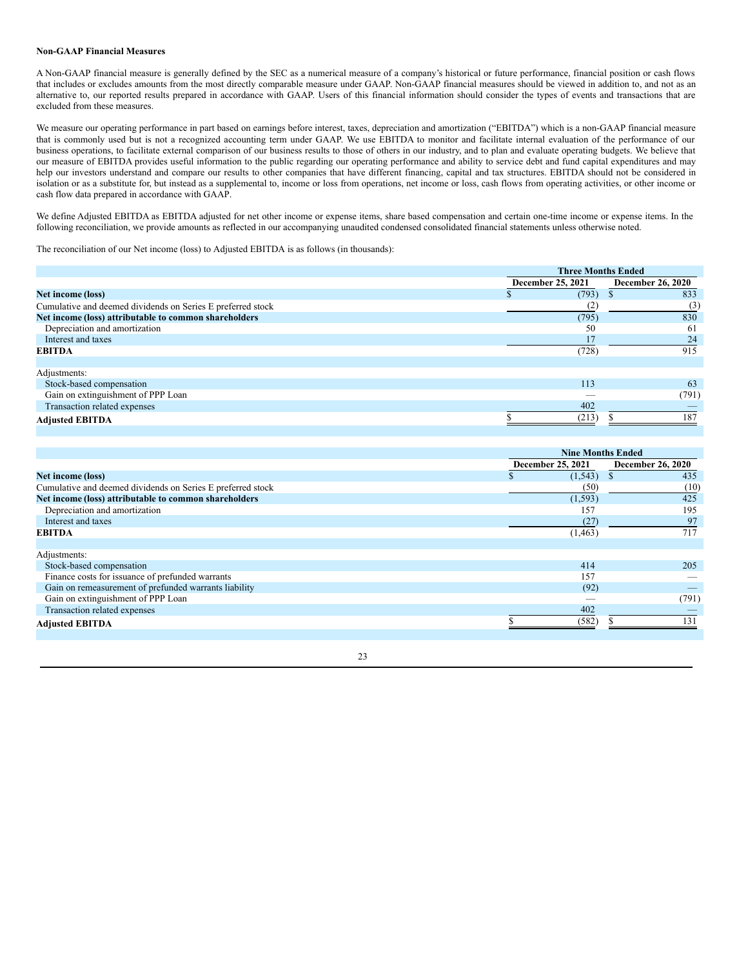### **Non-GAAP Financial Measures**

A Non-GAAP financial measure is generally defined by the SEC as a numerical measure of a company's historical or future performance, financial position or cash flows that includes or excludes amounts from the most directly comparable measure under GAAP. Non-GAAP financial measures should be viewed in addition to, and not as an alternative to, our reported results prepared in accordance with GAAP. Users of this financial information should consider the types of events and transactions that are excluded from these measures.

We measure our operating performance in part based on earnings before interest, taxes, depreciation and amortization ("EBITDA") which is a non-GAAP financial measure that is commonly used but is not a recognized accounting term under GAAP. We use EBITDA to monitor and facilitate internal evaluation of the performance of our business operations, to facilitate external comparison of our business results to those of others in our industry, and to plan and evaluate operating budgets. We believe that our measure of EBITDA provides useful information to the public regarding our operating performance and ability to service debt and fund capital expenditures and may help our investors understand and compare our results to other companies that have different financing, capital and tax structures. EBITDA should not be considered in isolation or as a substitute for, but instead as a supplemental to, income or loss from operations, net income or loss, cash flows from operating activities, or other income or cash flow data prepared in accordance with GAAP.

We define Adjusted EBITDA as EBITDA adjusted for net other income or expense items, share based compensation and certain one-time income or expense items. In the following reconciliation, we provide amounts as reflected in our accompanying unaudited condensed consolidated financial statements unless otherwise noted.

The reconciliation of our Net income (loss) to Adjusted EBITDA is as follows (in thousands):

|                                                             | <b>Three Months Ended</b> |                          |
|-------------------------------------------------------------|---------------------------|--------------------------|
|                                                             | December 25, 2021         | <b>December 26, 2020</b> |
| Net income (loss)                                           | (793)                     | 833                      |
| Cumulative and deemed dividends on Series E preferred stock | (2                        | (3)                      |
| Net income (loss) attributable to common shareholders       | (795)                     | 830                      |
| Depreciation and amortization                               | 50                        | 61                       |
| Interest and taxes                                          |                           | 24                       |
| <b>EBITDA</b>                                               | (728)                     | 915                      |
|                                                             |                           |                          |
| Adjustments:                                                |                           |                          |
| Stock-based compensation                                    | 113                       | 63                       |
| Gain on extinguishment of PPP Loan                          |                           | (791)                    |
| Transaction related expenses                                | 402                       |                          |
| <b>Adjusted EBITDA</b>                                      | (213)                     | 187                      |

|                                                             |                   | <b>Nine Months Ended</b> |  |
|-------------------------------------------------------------|-------------------|--------------------------|--|
|                                                             | December 25, 2021 | <b>December 26, 2020</b> |  |
| Net income (loss)                                           | (1, 543)          | 435                      |  |
| Cumulative and deemed dividends on Series E preferred stock | (50)              | (10)                     |  |
| Net income (loss) attributable to common shareholders       | (1, 593)          | 425                      |  |
| Depreciation and amortization                               | 157               | 195                      |  |
| Interest and taxes                                          | (27)              | 97                       |  |
| <b>EBITDA</b>                                               | (1, 463)          | 717                      |  |
|                                                             |                   |                          |  |
| Adjustments:                                                |                   |                          |  |
| Stock-based compensation                                    | 414               | 205                      |  |
| Finance costs for issuance of prefunded warrants            | 157               |                          |  |
| Gain on remeasurement of prefunded warrants liability       | (92)              |                          |  |
| Gain on extinguishment of PPP Loan                          |                   | (791)                    |  |
| Transaction related expenses                                | 402               |                          |  |
| <b>Adjusted EBITDA</b>                                      | (582)             | 131                      |  |
|                                                             |                   |                          |  |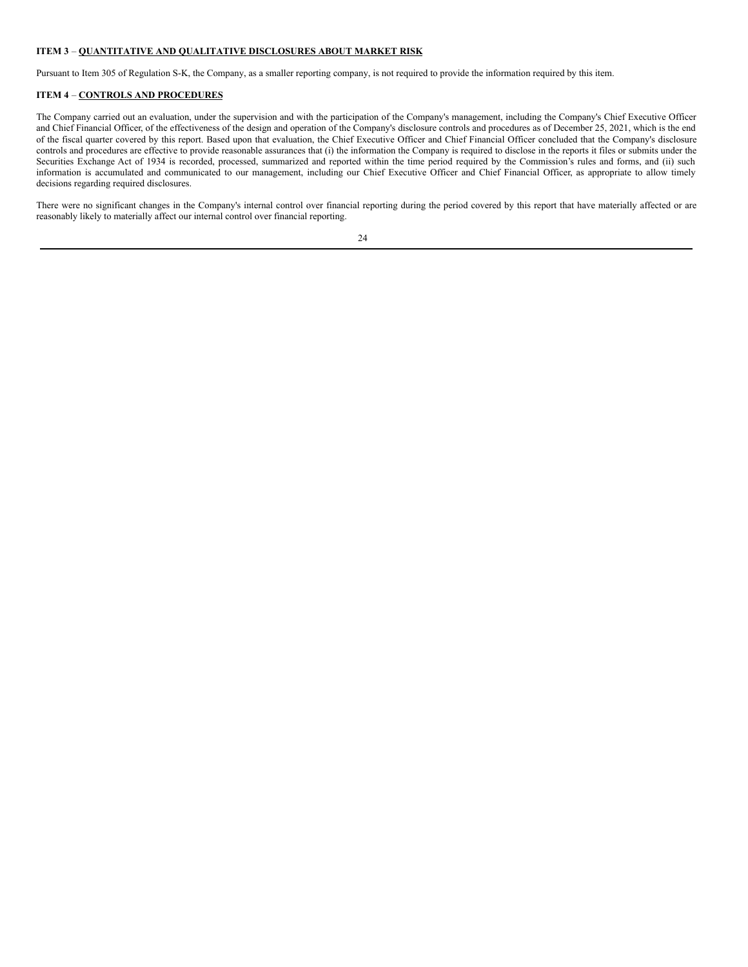### **ITEM 3** – **QUANTITATIVE AND QUALITATIVE DISCLOSURES ABOUT MARKET RISK**

Pursuant to Item 305 of Regulation S-K, the Company, as a smaller reporting company, is not required to provide the information required by this item.

## **ITEM 4** – **CONTROLS AND PROCEDURES**

The Company carried out an evaluation, under the supervision and with the participation of the Company's management, including the Company's Chief Executive Officer and Chief Financial Officer, of the effectiveness of the design and operation of the Company's disclosure controls and procedures as of December 25, 2021, which is the end of the fiscal quarter covered by this report. Based upon that evaluation, the Chief Executive Officer and Chief Financial Officer concluded that the Company's disclosure controls and procedures are effective to provide reasonable assurances that (i) the information the Company is required to disclose in the reports it files or submits under the Securities Exchange Act of 1934 is recorded, processed, summarized and reported within the time period required by the Commission's rules and forms, and (ii) such information is accumulated and communicated to our management, including our Chief Executive Officer and Chief Financial Officer, as appropriate to allow timely decisions regarding required disclosures.

There were no significant changes in the Company's internal control over financial reporting during the period covered by this report that have materially affected or are reasonably likely to materially affect our internal control over financial reporting.

|   | I |
|---|---|
| I |   |
|   |   |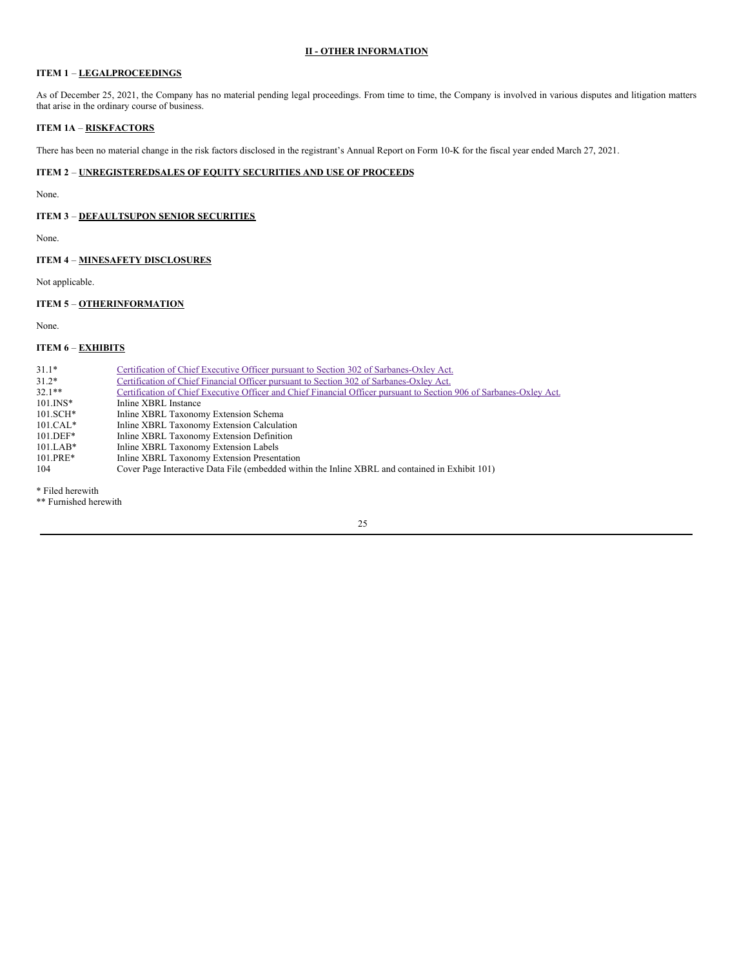### **II - OTHER INFORMATION**

# **ITEM 1** – **LEGALPROCEEDINGS**

As of December 25, 2021, the Company has no material pending legal proceedings. From time to time, the Company is involved in various disputes and litigation matters that arise in the ordinary course of business.

## **ITEM 1A** – **RISKFACTORS**

There has been no material change in the risk factors disclosed in the registrant's Annual Report on Form 10-K for the fiscal year ended March 27, 2021.

# **ITEM 2** – **UNREGISTEREDSALES OF EQUITY SECURITIES AND USE OF PROCEEDS**

None.

# **ITEM 3** – **DEFAULTSUPON SENIOR SECURITIES**

None.

## **ITEM 4** – **MINESAFETY DISCLOSURES**

Not applicable.

# **ITEM 5** – **OTHERINFORMATION**

None.

# **ITEM 6** – **EXHIBITS**

| $31.1*$<br>$31.2*$ | Certification of Chief Executive Officer pursuant to Section 302 of Sarbanes-Oxley Act.<br>Certification of Chief Financial Officer pursuant to Section 302 of Sarbanes-Oxley Act. |
|--------------------|------------------------------------------------------------------------------------------------------------------------------------------------------------------------------------|
| $32.1**$           | Certification of Chief Executive Officer and Chief Financial Officer pursuant to Section 906 of Sarbanes-Oxley Act.                                                                |
| $101.$ INS*        | Inline XBRL Instance                                                                                                                                                               |
| $101.SCH*$         | Inline XBRL Taxonomy Extension Schema                                                                                                                                              |
| $101.CAL*$         | Inline XBRL Taxonomy Extension Calculation                                                                                                                                         |
| $101.$ DEF*        | Inline XBRL Taxonomy Extension Definition                                                                                                                                          |
| $101.LAB*$         | Inline XBRL Taxonomy Extension Labels                                                                                                                                              |
| $101.PRE*$         | Inline XBRL Taxonomy Extension Presentation                                                                                                                                        |
| 104                | Cover Page Interactive Data File (embedded within the Inline XBRL and contained in Exhibit 101)                                                                                    |

\* Filed herewith

\*\* Furnished herewith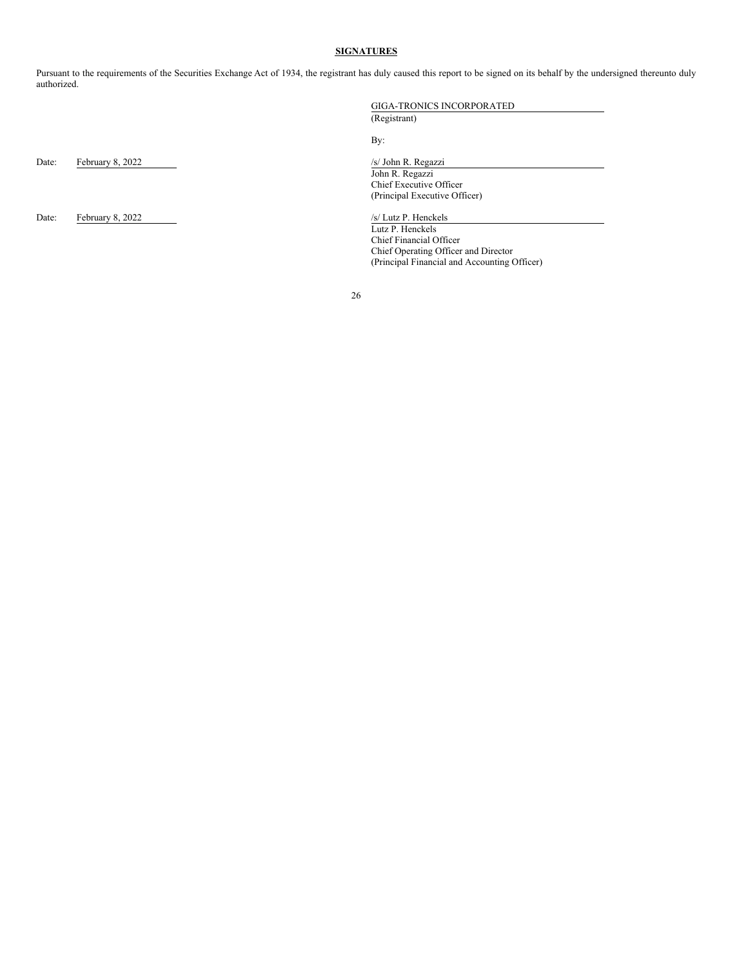### **SIGNATURES**

Pursuant to the requirements of the Securities Exchange Act of 1934, the registrant has duly caused this report to be signed on its behalf by the undersigned thereunto duly authorized.

Date: February 8, 2022 /s/ John R. Regazzi

Date: February 8, 2022 /s/ Lutz P. Henckels

GIGA-TRONICS INCORPORATED

(Registrant)

By:

John R. Regazzi Chief Executive Officer (Principal Executive Officer)

Lutz P. Henckels Chief Financial Officer Chief Operating Officer and Director (Principal Financial and Accounting Officer)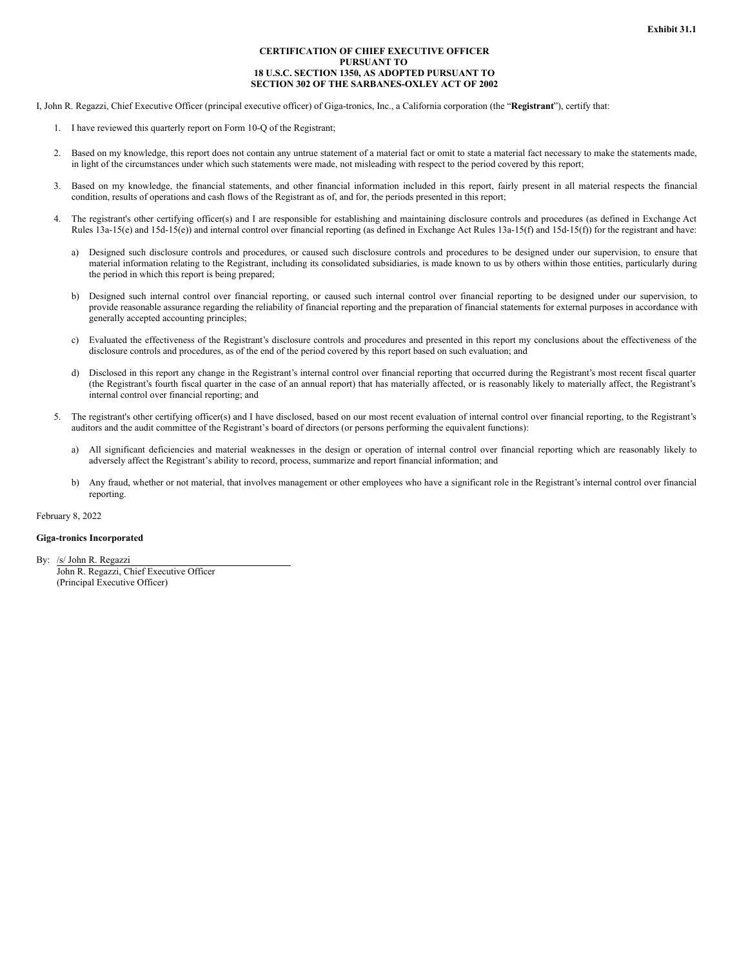### **CERTIFICATION OF CHIEF EXECUTIVE OFFICER PURSUANT TO 18 U.S.C. SECTION 1350, AS ADOPTED PURSUANT TO SECTION 302 OF THE SARBANES-OXLEY ACT OF 2002**

<span id="page-26-0"></span>I, John R. Regazzi, Chief Executive Officer (principal executive officer) of Giga-tronics, Inc., a California corporation (the "**Registrant**"), certify that:

- 1. I have reviewed this quarterly report on Form 10-Q of the Registrant;
- 2. Based on my knowledge, this report does not contain any untrue statement of a material fact or omit to state a material fact necessary to make the statements made, in light of the circumstances under which such statements were made, not misleading with respect to the period covered by this report;
- 3. Based on my knowledge, the financial statements, and other financial information included in this report, fairly present in all material respects the financial condition, results of operations and cash flows of the Registrant as of, and for, the periods presented in this report;
- 4. The registrant's other certifying officer(s) and I are responsible for establishing and maintaining disclosure controls and procedures (as defined in Exchange Act Rules 13a-15(e) and 15d-15(e)) and internal control over financial reporting (as defined in Exchange Act Rules 13a-15(f) and 15d-15(f)) for the registrant and have:
	- a) Designed such disclosure controls and procedures, or caused such disclosure controls and procedures to be designed under our supervision, to ensure that material information relating to the Registrant, including its consolidated subsidiaries, is made known to us by others within those entities, particularly during the period in which this report is being prepared;
	- b) Designed such internal control over financial reporting, or caused such internal control over financial reporting to be designed under our supervision, to provide reasonable assurance regarding the reliability of financial reporting and the preparation of financial statements for external purposes in accordance with generally accepted accounting principles;
	- c) Evaluated the effectiveness of the Registrant's disclosure controls and procedures and presented in this report my conclusions about the effectiveness of the disclosure controls and procedures, as of the end of the period covered by this report based on such evaluation; and
	- d) Disclosed in this report any change in the Registrant's internal control over financial reporting that occurred during the Registrant's most recent fiscal quarter (the Registrant's fourth fiscal quarter in the case of an annual report) that has materially affected, or is reasonably likely to materially affect, the Registrant's internal control over financial reporting; and
- 5. The registrant's other certifying officer(s) and I have disclosed, based on our most recent evaluation of internal control over financial reporting, to the Registrant's auditors and the audit committee of the Registrant's board of directors (or persons performing the equivalent functions):
	- a) All significant deficiencies and material weaknesses in the design or operation of internal control over financial reporting which are reasonably likely to adversely affect the Registrant's ability to record, process, summarize and report financial information; and
	- b) Any fraud, whether or not material, that involves management or other employees who have a significant role in the Registrant's internal control over financial reporting.

February 8, 2022

### **Giga-tronics Incorporated**

By: /s/ John R. Regazzi

John R. Regazzi, Chief Executive Officer (Principal Executive Officer)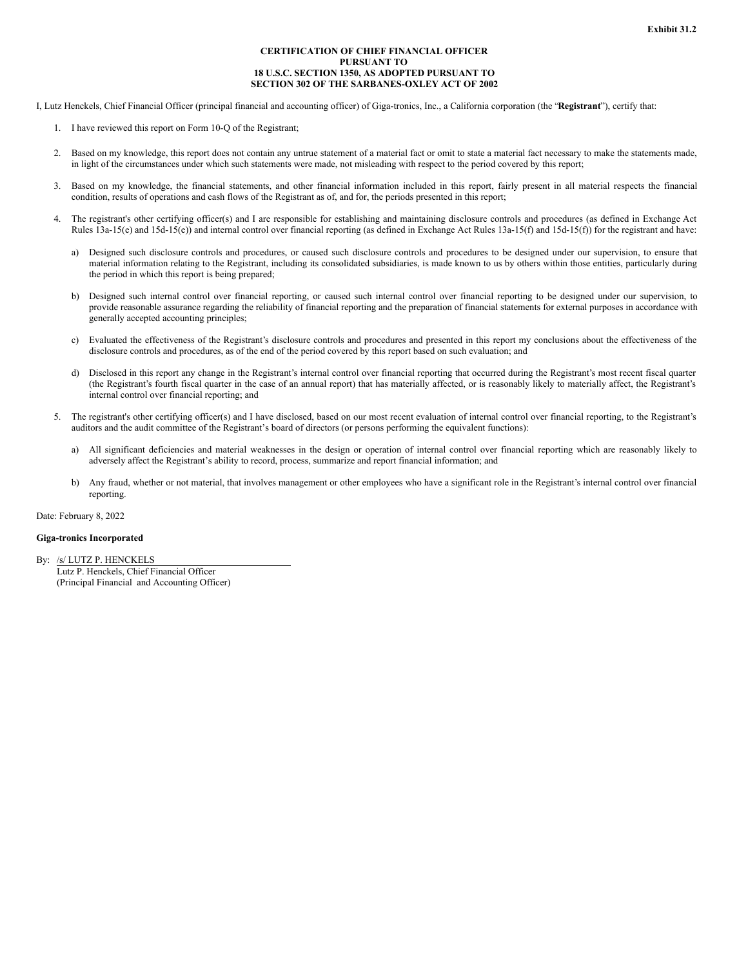### **CERTIFICATION OF CHIEF FINANCIAL OFFICER PURSUANT TO 18 U.S.C. SECTION 1350, AS ADOPTED PURSUANT TO SECTION 302 OF THE SARBANES-OXLEY ACT OF 2002**

<span id="page-27-0"></span>I, Lutz Henckels, Chief Financial Officer (principal financial and accounting officer) of Giga-tronics, Inc., a California corporation (the "**Registrant**"), certify that:

- 1. I have reviewed this report on Form 10-Q of the Registrant;
- 2. Based on my knowledge, this report does not contain any untrue statement of a material fact or omit to state a material fact necessary to make the statements made, in light of the circumstances under which such statements were made, not misleading with respect to the period covered by this report;
- 3. Based on my knowledge, the financial statements, and other financial information included in this report, fairly present in all material respects the financial condition, results of operations and cash flows of the Registrant as of, and for, the periods presented in this report;
- 4. The registrant's other certifying officer(s) and I are responsible for establishing and maintaining disclosure controls and procedures (as defined in Exchange Act Rules 13a-15(e) and 15d-15(e)) and internal control over financial reporting (as defined in Exchange Act Rules 13a-15(f) and 15d-15(f)) for the registrant and have:
	- a) Designed such disclosure controls and procedures, or caused such disclosure controls and procedures to be designed under our supervision, to ensure that material information relating to the Registrant, including its consolidated subsidiaries, is made known to us by others within those entities, particularly during the period in which this report is being prepared;
	- b) Designed such internal control over financial reporting, or caused such internal control over financial reporting to be designed under our supervision, to provide reasonable assurance regarding the reliability of financial reporting and the preparation of financial statements for external purposes in accordance with generally accepted accounting principles;
	- c) Evaluated the effectiveness of the Registrant's disclosure controls and procedures and presented in this report my conclusions about the effectiveness of the disclosure controls and procedures, as of the end of the period covered by this report based on such evaluation; and
	- d) Disclosed in this report any change in the Registrant's internal control over financial reporting that occurred during the Registrant's most recent fiscal quarter (the Registrant's fourth fiscal quarter in the case of an annual report) that has materially affected, or is reasonably likely to materially affect, the Registrant's internal control over financial reporting; and
- 5. The registrant's other certifying officer(s) and I have disclosed, based on our most recent evaluation of internal control over financial reporting, to the Registrant's auditors and the audit committee of the Registrant's board of directors (or persons performing the equivalent functions):
	- a) All significant deficiencies and material weaknesses in the design or operation of internal control over financial reporting which are reasonably likely to adversely affect the Registrant's ability to record, process, summarize and report financial information; and
	- b) Any fraud, whether or not material, that involves management or other employees who have a significant role in the Registrant's internal control over financial reporting.

Date: February 8, 2022

### **Giga-tronics Incorporated**

By: /s/ LUTZ P. HENCKELS Lutz P. Henckels, Chief Financial Officer (Principal Financial and Accounting Officer)